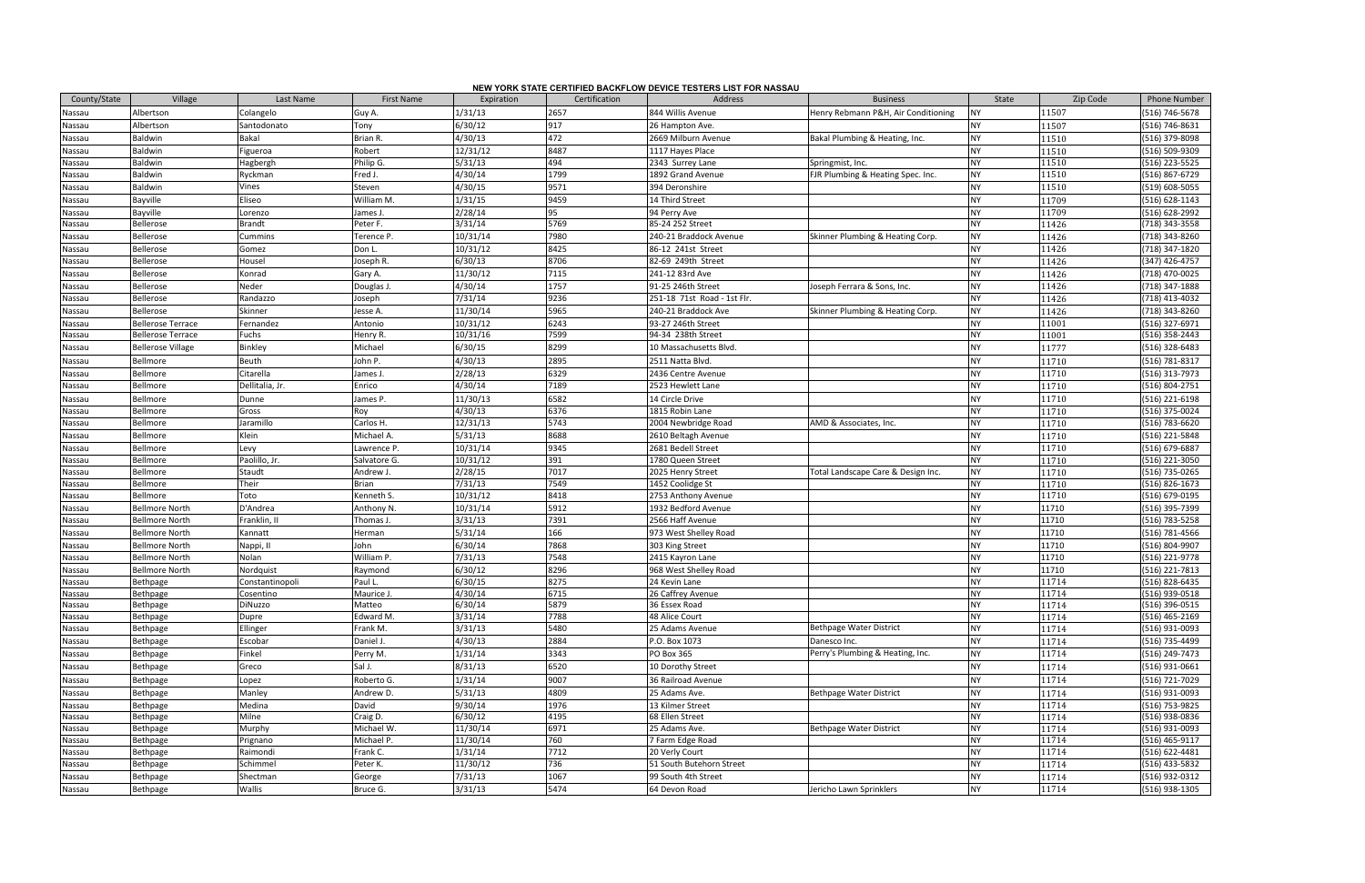|                  |                          |                 |                   |            |               | NEW YORK STATE CERTIFIED BACKFLOW DEVICE TESTERS LIST FOR NASSAU |                                     |           |          |                     |
|------------------|--------------------------|-----------------|-------------------|------------|---------------|------------------------------------------------------------------|-------------------------------------|-----------|----------|---------------------|
| County/State     | Village                  | Last Name       | <b>First Name</b> | Expiration | Certification | <b>Address</b>                                                   | <b>Business</b>                     | State     | Zip Code | <b>Phone Number</b> |
| Nassau           | Albertson                | Colangelo       | Guy A.            | 1/31/13    | 2657          | 844 Willis Avenue                                                | Henry Rebmann P&H, Air Conditioning | NY        | 11507    | (516) 746-5678      |
| Nassau           | Albertson                | Santodonato     | Tony              | 6/30/12    | 917           | 26 Hampton Ave.                                                  |                                     | NΥ        | 11507    | (516) 746-8631      |
| Nassau           | Baldwin                  | Bakal           | Brian R.          | 4/30/13    | 472           | 2669 Milburn Avenue                                              | Bakal Plumbing & Heating, Inc.      | <b>NY</b> | 11510    | (516) 379-8098      |
| Nassau           | Baldwin                  | Figueroa        | Robert            | 12/31/12   | 8487          | 1117 Hayes Place                                                 |                                     | <b>NY</b> | 11510    | (516) 509-9309      |
| Nassau           | Baldwin                  | Hagbergh        | Philip G.         | 5/31/13    | 494           | 2343 Surrey Lane                                                 | Springmist, Inc.                    | <b>NY</b> | 11510    | (516) 223-5525      |
| Nassau           | Baldwin                  | Ryckman         | Fred J.           | 4/30/14    | 1799          | 1892 Grand Avenue                                                | FJR Plumbing & Heating Spec. Inc.   | <b>NY</b> | 11510    | (516) 867-6729      |
| Nassau           | Baldwin                  | Vines           | Steven            | 4/30/15    | 9571          | 394 Deronshire                                                   |                                     | <b>NY</b> | 11510    | (519) 608-5055      |
| Nassau           | Bayville                 | Eliseo          | William M.        | 1/31/15    | 9459          | 14 Third Street                                                  |                                     | NY        | 11709    | (516) 628-1143      |
| Nassau           | Bayville                 | Lorenzo         | James J.          | 2/28/14    | 95            | 94 Perry Ave                                                     |                                     | <b>NY</b> | 11709    | (516) 628-2992      |
| Nassau           | Bellerose                | <b>Brandt</b>   | Peter F.          | 3/31/14    | 5769          | 85-24 252 Street                                                 |                                     | <b>NY</b> | 11426    | (718) 343-3558      |
| Nassau           | Bellerose                | Cummins         | Terence P.        | 10/31/14   | 7980          | 240-21 Braddock Avenue                                           | Skinner Plumbing & Heating Corp.    | <b>NY</b> | 11426    | (718) 343-8260      |
| Nassau           | Bellerose                | Gomez           | Don L.            | 10/31/12   | 8425          | 86-12 241st Street                                               |                                     | <b>NY</b> | 11426    | (718) 347-1820      |
| Nassau           | Bellerose                | Housel          | Joseph R.         | 6/30/13    | 8706          | 82-69 249th Street                                               |                                     | <b>NY</b> | 11426    | (347) 426-4757      |
| Nassau           | Bellerose                | Konrad          | Gary A.           | 11/30/12   | 7115          | 241-12 83rd Ave                                                  |                                     | <b>NY</b> | 11426    | (718) 470-0025      |
| Nassau           | Bellerose                | Neder           | Douglas J.        | 4/30/14    | 1757          | 91-25 246th Street                                               | Joseph Ferrara & Sons, Inc.         | <b>NY</b> | 11426    | (718) 347-1888      |
| Nassau           | Bellerose                | Randazzo        | Joseph            | 7/31/14    | 9236          | 251-18 71st Road - 1st Flr.                                      |                                     | <b>NY</b> | 11426    | (718) 413-4032      |
| Nassau           | Bellerose                | Skinner         | Jesse A.          | 11/30/14   | 5965          | 240-21 Braddock Ave                                              | Skinner Plumbing & Heating Corp.    | <b>NY</b> | 11426    | (718) 343-8260      |
| Nassau           | <b>Bellerose Terrace</b> | Fernandez       | Antonio           | 10/31/12   | 6243          | 93-27 246th Street                                               |                                     | <b>NY</b> | 11001    | $(516)$ 327-6971    |
| Nassau           | <b>Bellerose Terrace</b> | Fuchs           | Henry R.          | 10/31/16   | 7599          | 94-34 238th Street                                               |                                     | <b>NY</b> | 11001    | $(516)$ 358-2443    |
| Nassau           | <b>Bellerose Village</b> | Binkley         | Michael           | 6/30/15    | 8299          | 10 Massachusetts Blvd.                                           |                                     | <b>NY</b> | 11777    | (516) 328-6483      |
| Nassau           | Bellmore                 | Beuth           | John P.           | 4/30/13    | 2895          | 2511 Natta Blvd.                                                 |                                     | <b>NY</b> | 11710    | (516) 781-8317      |
| Nassau           | Bellmore                 | Citarella       | James J.          | 2/28/13    | 6329          | 2436 Centre Avenue                                               |                                     | <b>NY</b> | 11710    | (516) 313-7973      |
| Nassau           | Bellmore                 | Dellitalia, Jr. | Enrico            | 4/30/14    | 7189          | 2523 Hewlett Lane                                                |                                     | <b>NY</b> | 11710    | (516) 804-2751      |
| Nassau           | Bellmore                 | Dunne           | James P.          | 11/30/13   | 6582          | 14 Circle Drive                                                  |                                     | <b>NY</b> | 11710    | (516) 221-6198      |
| Nassau           | Bellmore                 | Gross           | Roy               | 4/30/13    | 6376          | 1815 Robin Lane                                                  |                                     | <b>NY</b> | 11710    | (516) 375-0024      |
| Nassau           | Bellmore                 | Jaramillo       | Carlos H.         | 12/31/13   | 5743          | 2004 Newbridge Road                                              | AMD & Associates, Inc.              | <b>NY</b> | 11710    | (516) 783-6620      |
| Nassau           | Bellmore                 | Klein           | Michael A.        | 5/31/13    | 8688          | 2610 Beltagh Avenue                                              |                                     | <b>NY</b> | 11710    | (516) 221-5848      |
| Nassau           | Bellmore                 | Levy            | Lawrence P.       | 10/31/14   | 9345          | 2681 Bedell Street                                               |                                     | <b>NY</b> | 11710    | (516) 679-6887      |
| Nassau           | Bellmore                 | Paolillo, Jr.   | Salvatore G.      | 10/31/12   | 391           | 1780 Queen Street                                                |                                     | <b>NY</b> | 11710    | (516) 221-3050      |
| Nassau           | Bellmore                 | Staudt          | Andrew J.         | 2/28/15    | 7017          | 2025 Henry Street                                                | Total Landscape Care & Design Inc.  | NY        | 11710    | (516) 735-0265      |
| Nassau           | Bellmore                 | Their           | Brian             | 7/31/13    | 7549          | 1452 Coolidge St                                                 |                                     | NY        | 11710    | $(516) 826 - 1673$  |
| Nassau           | Bellmore                 | Toto            | Kenneth S.        | 10/31/12   | 8418          | 2753 Anthony Avenue                                              |                                     | NY        | 11710    | (516) 679-0195      |
| Nassau           | <b>Bellmore North</b>    | D'Andrea        | Anthony N.        | 10/31/14   | 5912          | 1932 Bedford Avenue                                              |                                     | NY        | 11710    | (516) 395-7399      |
| Nassau           | <b>Bellmore North</b>    | Franklin, II    | Thomas J.         | 3/31/13    | 7391          | 2566 Haff Avenue                                                 |                                     | <b>NY</b> | 11710    | (516) 783-5258      |
| Nassau           | Bellmore North           | Kannatt         | Herman            | 5/31/14    | 166           | 973 West Shelley Road                                            |                                     | <b>NY</b> | 11710    | (516) 781-4566      |
| Nassau           | <b>Bellmore North</b>    | Nappi, II       | John              | 6/30/14    | 7868          | 303 King Street                                                  |                                     | <b>NY</b> | 11710    | (516) 804-9907      |
| Nassau           | <b>Bellmore North</b>    | Nolan           | William P.        | 7/31/13    | 7548          | 2415 Kayron Lane                                                 |                                     | NΥ        | 11710    | (516) 221-9778      |
| Nassau           | <b>Bellmore North</b>    | Nordquist       | Raymond           | 6/30/12    | 8296          | 968 West Shelley Road                                            |                                     | NY        | 11710    | (516) 221-7813      |
| Nassau           | Bethpage                 | Constantinopoli | Paul L            | 6/30/15    | 8275          | 24 Kevin Lane                                                    |                                     | <b>NY</b> | 11714    | (516) 828-6435      |
| Nassau           | Bethpage                 | Cosentino       | Maurice J.        | 4/30/14    | 6715          | 26 Caffrey Avenue                                                |                                     | <b>NY</b> | 11714    | (516) 939-0518      |
| Nassau           | Bethpage                 | DiNuzzo         | Matteo            | 6/30/14    | 5879          | 36 Essex Road                                                    |                                     | <b>NY</b> | 11714    | (516) 396-0515      |
| Nassau           | Bethpage                 | Dupre           | Edward M.         | 3/31/14    | 7788          | 48 Alice Court                                                   |                                     | <b>NY</b> | 11714    | $(516)$ 465-2169    |
| Nassau           | Bethpage                 | Ellinger        | Frank M.          | 3/31/13    | 5480          | 25 Adams Avenue                                                  | <b>Bethpage Water District</b>      | <b>NY</b> | 11714    | (516) 931-0093      |
| Nassau           | Bethpage                 | Escobar         | Daniel J.         | 4/30/13    | 2884          | P.O. Box 1073                                                    | Danesco Inc.                        | NY        | 11714    | (516) 735-4499      |
| Nassau           | Bethpage                 | Finkel          | Perry M.          | 1/31/14    | 3343          | PO Box 365                                                       | Perry's Plumbing & Heating, Inc.    | <b>NY</b> | 11714    | (516) 249-7473      |
| Nassau           | Bethpage                 | Greco           | Sal J.            | 8/31/13    | 6520          | 10 Dorothy Street                                                |                                     | NΥ        | 11714    | (516) 931-0661      |
| Nassau           | Bethpage                 | Lopez           | Roberto G.        | 1/31/14    | 9007          | 36 Railroad Avenue                                               |                                     | <b>NY</b> | 11714    | (516) 721-7029      |
|                  | Bethpage                 | Manley          | Andrew D.         | 5/31/13    | 4809          | 25 Adams Ave.                                                    | Bethpage Water District             | NY        | 11714    | (516) 931-0093      |
| Nassau<br>Nassau | Bethpage                 | Medina          | David             | 9/30/14    | 1976          | 13 Kilmer Street                                                 |                                     | <b>NY</b> | 11714    | (516) 753-9825      |
| Nassau           | Bethpage                 | Milne           | Craig D.          | 6/30/12    | 4195          | 68 Ellen Street                                                  |                                     | <b>NY</b> | 11714    | (516) 938-0836      |
| Nassau           | Bethpage                 | Murphy          | Michael W.        | 11/30/14   | 6971          | 25 Adams Ave.                                                    | Bethpage Water District             | <b>NY</b> | 11714    | (516) 931-0093      |
| Nassau           | Bethpage                 | Prignano        | Michael P.        | 11/30/14   | 760           | 7 Farm Edge Road                                                 |                                     | <b>NY</b> | 11714    | (516) 465-9117      |
| Nassau           | Bethpage                 | Raimondi        | Frank C.          | 1/31/14    | 7712          | 20 Verly Court                                                   |                                     | <b>NY</b> | 11714    | (516) 622-4481      |
| Nassau           | Bethpage                 | Schimmel        | Peter K.          | 11/30/12   | 736           | 51 South Butehorn Street                                         |                                     | <b>NY</b> | 11714    | (516) 433-5832      |
| Nassau           | Bethpage                 | Shectman        | George            | 7/31/13    | 1067          | 99 South 4th Street                                              |                                     | <b>NY</b> | 11714    | (516) 932-0312      |
| Nassau           | Bethpage                 | <b>Wallis</b>   | Bruce G.          | 3/31/13    | 5474          | 64 Devon Road                                                    | Jericho Lawn Sprinklers             | <b>NY</b> | 11714    | (516) 938-1305      |
|                  |                          |                 |                   |            |               |                                                                  |                                     |           |          |                     |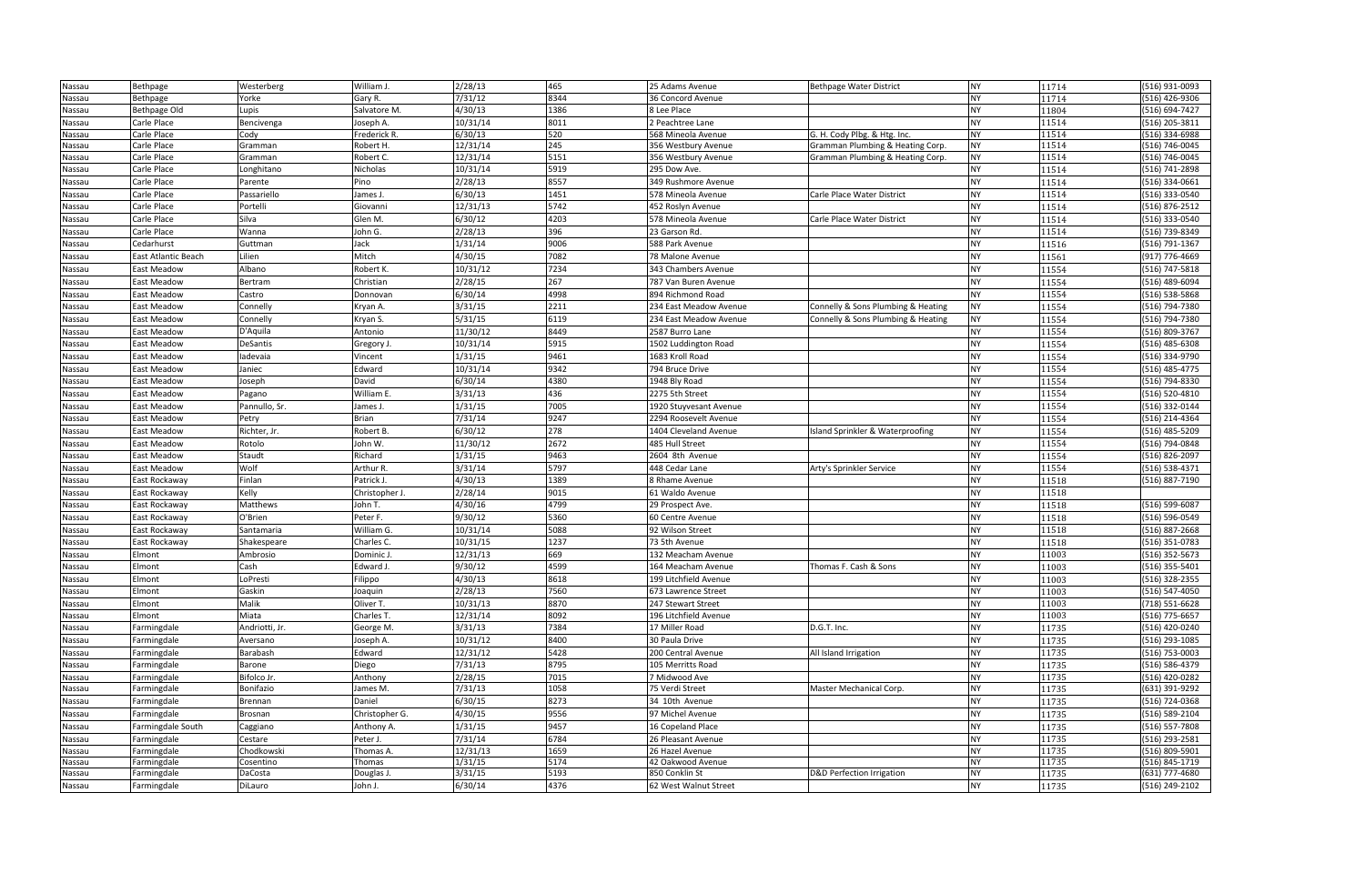| Nassau | Bethpage                       | Westerberg          | William J.     | 2/28/13               | 465  | 25 Adams Avenue                         | Bethpage Water District            | <b>NY</b>              | 11714          | (516) 931-0093 |
|--------|--------------------------------|---------------------|----------------|-----------------------|------|-----------------------------------------|------------------------------------|------------------------|----------------|----------------|
| Nassau | Bethpage                       | Yorke               | Gary R.        | 7/31/12               | 8344 | 36 Concord Avenue                       |                                    | <b>NY</b>              | 11714          | (516) 426-9306 |
| Nassau | Bethpage Old                   | Lupis               | Salvatore M.   | 4/30/13               | 1386 | 8 Lee Place                             |                                    | <b>NY</b>              | 11804          | (516) 694-7427 |
| Nassau | Carle Place                    | Bencivenga          | Joseph A.      | 10/31/14              | 8011 | 2 Peachtree Lane                        |                                    | <b>NY</b>              | 11514          | (516) 205-3811 |
| Nassau | Carle Place                    | Cody                | Frederick R.   | 6/30/13               | 520  | 568 Mineola Avenue                      | G. H. Cody Plbg. & Htg. Inc.       | <b>NY</b>              | 11514          | (516) 334-6988 |
| Nassau | Carle Place                    | Gramman             | Robert H.      | 12/31/14              | 245  | 356 Westbury Avenue                     | Gramman Plumbing & Heating Corp.   | <b>NY</b>              | 11514          | (516) 746-0045 |
| Nassau | Carle Place                    | Gramman             | Robert C.      | 12/31/14              | 5151 | 356 Westbury Avenue                     | Gramman Plumbing & Heating Corp.   | <b>NY</b>              | 11514          | (516) 746-0045 |
| Nassau | Carle Place                    | Longhitano          | Nicholas       | 10/31/14              | 5919 | 295 Dow Ave.                            |                                    | <b>NY</b>              | 11514          | (516) 741-2898 |
| Nassau | Carle Place                    | Parente             | Pino           | 2/28/13               | 8557 | 349 Rushmore Avenue                     |                                    | <b>NY</b>              | 11514          | (516) 334-0661 |
| Nassau | Carle Place                    | Passariello         | James J.       | 6/30/13               | 1451 | 578 Mineola Avenue                      | Carle Place Water District         | <b>NY</b>              | 11514          | (516) 333-0540 |
| Nassau | Carle Place                    | Portelli            | Giovanni       | 12/31/13              | 5742 | 452 Roslyn Avenue                       |                                    | <b>NY</b>              | 11514          | (516) 876-2512 |
| Nassau | Carle Place                    | Silva               | Glen M.        | 6/30/12               | 4203 | 578 Mineola Avenue                      | Carle Place Water District         | <b>NY</b>              | 11514          | (516) 333-0540 |
| Nassau | Carle Place                    | Wanna               | John G.        | 2/28/13               | 396  | 23 Garson Rd.                           |                                    | <b>NY</b>              | 11514          | (516) 739-8349 |
| Nassau | Cedarhurst                     | Guttman             | Jack           | 1/31/14               | 9006 | 588 Park Avenue                         |                                    | <b>NY</b>              | 11516          | (516) 791-1367 |
| Nassau | East Atlantic Beach            | Lilien              | Mitch          | 4/30/15               | 7082 | 78 Malone Avenue                        |                                    | <b>NY</b>              | 11561          | (917) 776-4669 |
| Nassau | East Meadow                    | Albano              | Robert K.      | $10/31/\overline{12}$ | 7234 | 343 Chambers Avenue                     |                                    | <b>NY</b>              | 11554          | (516) 747-5818 |
| Nassau | East Meadow                    | Bertram             | Christian      | 2/28/15               | 267  | 787 Van Buren Avenue                    |                                    | <b>NY</b>              | 11554          | (516) 489-6094 |
| Nassau | <b>East Meadow</b>             | Castro              | Donnovan       | 6/30/14               | 4998 | 894 Richmond Road                       |                                    | <b>NY</b>              | 11554          | (516) 538-5868 |
| Nassau | <b>East Meadow</b>             | Connelly            | Kryan A.       | 3/31/15               | 2211 | 234 East Meadow Avenue                  | Connelly & Sons Plumbing & Heating | <b>NY</b>              | 11554          | (516) 794-7380 |
| Nassau | <b>East Meadow</b>             | Connelly            | Kryan S.       | 5/31/15               | 6119 | 234 East Meadow Avenue                  | Connelly & Sons Plumbing & Heating | <b>NY</b>              | 11554          | (516) 794-7380 |
| Nassau | <b>East Meadow</b>             | D'Aquila            | Antonio        | 11/30/12              | 8449 | 2587 Burro Lane                         |                                    | <b>NY</b>              | 11554          | (516) 809-3767 |
| Nassau | <b>East Meadow</b>             | DeSantis            | Gregory J.     | 10/31/14              | 5915 | 1502 Luddington Road                    |                                    | <b>NY</b>              | 11554          | (516) 485-6308 |
| Nassau | East Meadow                    | ladevaia            | Vincent        | 1/31/15               | 9461 | 1683 Kroll Road                         |                                    | <b>NY</b>              | 11554          | (516) 334-9790 |
| Nassau | East Meadow                    | Janiec              | Edward         | 10/31/14              | 9342 | 794 Bruce Drive                         |                                    | <b>NY</b>              | 11554          | (516) 485-4775 |
| Nassau | <b>East Meadow</b>             | Joseph              | David          | 6/30/14               | 4380 | 1948 Bly Road                           |                                    | <b>NY</b>              | 11554          | (516) 794-8330 |
| Nassau | <b>East Meadow</b>             | Pagano              | William E.     | 3/31/13               | 436  | 2275 5th Street                         |                                    | <b>NY</b>              | 11554          | (516) 520-4810 |
| Nassau | <b>East Meadow</b>             | Pannullo, Sr.       | James J.       | 1/31/15               | 7005 | 1920 Stuyvesant Avenue                  |                                    | <b>NY</b>              | 11554          | (516) 332-0144 |
| Nassau | <b>East Meadow</b>             | Petry               | Brian          | 7/31/14               | 9247 | 2294 Roosevelt Avenue                   |                                    | <b>NY</b>              | 11554          | (516) 214-4364 |
| Nassau | <b>East Meadow</b>             | Richter, Jr.        | Robert B.      | 6/30/12               | 278  | 1404 Cleveland Avenue                   | Island Sprinkler & Waterproofing   | <b>NY</b>              | 11554          | (516) 485-5209 |
|        | <b>East Meadow</b>             | Rotolo              | John W.        | 11/30/12              | 2672 | 485 Hull Street                         |                                    | <b>NY</b>              | 11554          | (516) 794-0848 |
| Nassau | East Meadow                    | Staudt              | Richard        | 1/31/15               | 9463 | 2604 8th Avenue                         |                                    | <b>NY</b>              | 11554          | (516) 826-2097 |
| Nassau | <b>East Meadow</b>             | Wolf                | Arthur R.      | 3/31/14               | 5797 | 448 Cedar Lane                          | Arty's Sprinkler Service           | <b>NY</b>              | 11554          | (516) 538-4371 |
| Nassau | East Rockaway                  | Finlan              | Patrick J.     | 4/30/13               | 1389 | 8 Rhame Avenue                          |                                    | <b>NY</b>              | 11518          | (516) 887-7190 |
| Nassau |                                | Kelly               | Christopher J. | 2/28/14               | 9015 |                                         |                                    | <b>NY</b>              | 11518          |                |
| Nassau | East Rockaway                  |                     | John T.        | 4/30/16               | 4799 | 61 Waldo Avenue                         |                                    | <b>NY</b>              |                | (516) 599-6087 |
| Nassau | East Rockaway                  | Matthews<br>O'Brien | Peter F.       | 9/30/12               | 5360 | 29 Prospect Ave.<br>60 Centre Avenue    |                                    | <b>NY</b>              | 11518          |                |
| Nassau | East Rockaway<br>East Rockaway |                     | William G.     | 10/31/14              | 5088 |                                         |                                    | <b>NY</b>              | 11518<br>11518 | (516) 596-0549 |
| Nassau |                                | Santamaria          | Charles C.     | 10/31/15              | 1237 | 92 Wilson Street<br>73 5th Avenue       |                                    | <b>NY</b>              |                | (516) 887-2668 |
| Nassau | East Rockaway                  | Shakespeare         |                |                       | 669  |                                         |                                    |                        | 11518          | (516) 351-0783 |
| Nassau | Elmont                         | Ambrosio            | Dominic J.     | 12/31/13              |      | 132 Meacham Avenue                      |                                    | <b>NY</b>              | 11003          | (516) 352-5673 |
| Nassau | Elmont                         | Cash                | Edward J.      | 9/30/12               | 4599 | 164 Meacham Avenue                      | Thomas F. Cash & Sons              | <b>NY</b><br><b>NY</b> | 11003          | (516) 355-5401 |
| Nassau | Elmont                         | LoPresti            | Filippo        | 4/30/13               | 8618 | 199 Litchfield Avenue                   |                                    |                        | 11003          | (516) 328-2355 |
| Nassau | Elmont                         | Gaskin              | Joaquin        | 2/28/13               | 7560 | 673 Lawrence Street                     |                                    | <b>NY</b>              | 11003          | (516) 547-4050 |
| Nassau | Elmont                         | Malik               | Oliver T.      | 10/31/13              | 8870 | 247 Stewart Street                      |                                    | <b>NY</b>              | 11003          | (718) 551-6628 |
| Nassau | Elmont                         | Miata               | Charles T.     | 12/31/14              | 8092 | 196 Litchfield Avenue<br>17 Miller Road |                                    | <b>NY</b>              | 11003          | (516) 775-6657 |
| Nassau | Farmingdale                    | Andriotti, Jr.      | George M.      | 3/31/13               | 7384 |                                         | D.G.T. Inc.                        | <b>NY</b>              | 11735          | (516) 420-0240 |
| Nassau | Farmingdale                    | Aversano            | Joseph A.      | 10/31/12              | 8400 | 30 Paula Drive                          |                                    | <b>NY</b>              | 11735          | (516) 293-1085 |
| Nassau | Farmingdale                    | Barabash            | Edward         | 12/31/12              | 5428 | 200 Central Avenue                      | All Island Irrigation              | <b>NY</b>              | 11735          | (516) 753-0003 |
| Nassau | Farmingdale                    | Barone              | Diego          | 7/31/13               | 8795 | 105 Merritts Road                       |                                    | <b>NY</b>              | 11735          | (516) 586-4379 |
| Nassau | Farmingdale                    | Bifolco Jr.         | Anthony        | 2/28/15               | 7015 | 7 Midwood Ave                           |                                    | <b>NY</b>              | 11735          | (516) 420-0282 |
| Nassau | Farmingdale                    | Bonifazio           | James M.       | 7/31/13               | 1058 | 75 Verdi Street                         | Master Mechanical Corp.            | <b>NY</b>              | 11735          | (631) 391-9292 |
| Nassau | Farmingdale                    | Brennan             | Daniel         | 6/30/15               | 8273 | 34 10th Avenue                          |                                    | <b>NY</b>              | 11735          | (516) 724-0368 |
| Nassau | Farmingdale                    | Brosnan             | Christopher G. | 4/30/15               | 9556 | 97 Michel Avenue                        |                                    | NY                     | 11735          | (516) 589-2104 |
| Nassau | Farmingdale South              | Caggiano            | Anthony A.     | 1/31/15               | 9457 | 16 Copeland Place                       |                                    | <b>NY</b>              | 11735          | (516) 557-7808 |
| Nassau | Farmingdale                    | Cestare             | Peter J.       | 7/31/14               | 6784 | 26 Pleasant Avenue                      |                                    | <b>NY</b>              | 11735          | (516) 293-2581 |
| Nassau | Farmingdale                    | Chodkowski          | Thomas A.      | 12/31/13              | 1659 | 26 Hazel Avenue                         |                                    | <b>NY</b>              | 11735          | (516) 809-5901 |
| Nassau | Farmingdale                    | Cosentino           | Thomas         | 1/31/15               | 5174 | 42 Oakwood Avenue                       |                                    | <b>NY</b>              | 11735          | (516) 845-1719 |
| Nassau | Farmingdale                    | DaCosta             | Douglas J.     | 3/31/15               | 5193 | 850 Conklin St                          | D&D Perfection Irrigation          | NY                     | 11735          | (631) 777-4680 |
| Nassau | Farmingdale                    | DiLauro             | John J.        | 6/30/14               | 4376 | 62 West Walnut Street                   |                                    | <b>NY</b>              | 11735          | (516) 249-2102 |

| 11714 | (516) 931-0093   |
|-------|------------------|
| 11714 | (516) 426-9306   |
| 11804 | (516) 694-7427   |
| 11514 | (516) 205-3811   |
| 11514 | $(516)$ 334-6988 |
| 11514 | (516) 746-0045   |
| 11514 | (516) 746-0045   |
| 11514 | (516) 741-2898   |
| 11514 | (516) 334-0661   |
| 11514 | (516) 333-0540   |
| 11514 | (516) 876-2512   |
| 11514 | (516) 333-0540   |
| 11514 | (516) 739-8349   |
| 11516 | (516) 791-1367   |
| 11561 | (917) 776-4669   |
| 11554 | (516) 747-5818   |
| 11554 | (516) 489-6094   |
| 11554 | (516) 538-5868   |
| 11554 | (516) 794-7380   |
| 11554 | (516) 794-7380   |
| 11554 | (516) 809-3767   |
| 11554 | (516) 485-6308   |
| 11554 | (516) 334-9790   |
| 11554 | (516) 485-4775   |
| 11554 | (516) 794-8330   |
| 11554 | (516) 520-4810   |
| 11554 | (516) 332-0144   |
| 11554 | $(516)$ 214-4364 |
| 11554 | (516) 485-5209   |
| 11554 | (516) 794-0848   |
| 11554 | (516) 826-2097   |
| 11554 | (516) 538-4371   |
| 11518 | (516) 887-7190   |
| 11518 |                  |
| 11518 | (516) 599-6087   |
| 11518 | (516) 596-0549   |
| 11518 | (516) 887-2668   |
| 11518 | (516) 351-0783   |
| 11003 | (516) 352-5673   |
| 11003 | (516) 355-5401   |
| 11003 | $(516)$ 328-2355 |
| 11003 | (516) 547-4050   |
| 11003 | (718) 551-6628   |
| 11003 | (516) 775-6657   |
| 11735 | (516) 420-0240   |
| 11735 | (516) 293-1085   |
| 11735 | (516) 753-0003   |
| 11735 | (516) 586-4379   |
| 11735 | (516) 420-0282   |
| 11735 | (631) 391-9292   |
| 11735 | (516) 724-0368   |
| 11735 | (516) 589-2104   |
| 11735 | (516) 557-7808   |
| 11735 | (516) 293-2581   |
| 11735 | (516) 809-5901   |
| 11735 | (516) 845-1719   |
| 11735 | (631) 777-4680   |
| 11735 | (516) 249-2102   |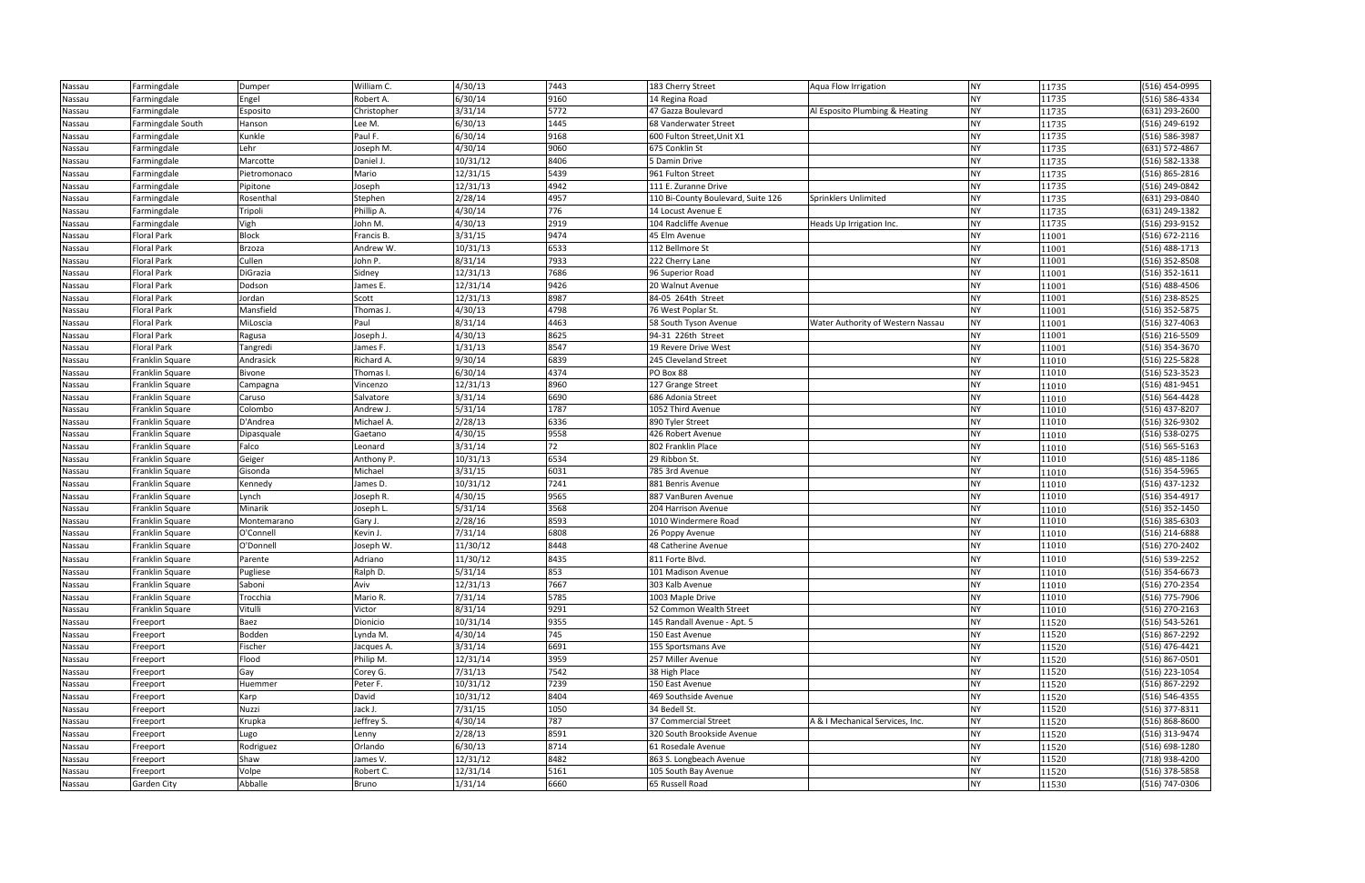| Nassau | Farmingdale        | Dumper       | William C.  | 4/30/13  | 7443 | 183 Cherry Street                  | Aqua Flow Irrigation              | <b>NY</b> | 11735 | (516) 454-0995 |
|--------|--------------------|--------------|-------------|----------|------|------------------------------------|-----------------------------------|-----------|-------|----------------|
| Nassau | Farmingdale        | Engel        | Robert A.   | 6/30/14  | 9160 | 14 Regina Road                     |                                   | <b>NY</b> | 11735 | (516) 586-4334 |
| Nassau | Farmingdale        | Esposito     | Christopher | 3/31/14  | 5772 | 47 Gazza Boulevard                 | Al Esposito Plumbing & Heating    | <b>NY</b> | 11735 | (631) 293-2600 |
| Nassau | Farmingdale South  | Hanson       | Lee M.      | 6/30/13  | 1445 | 68 Vanderwater Street              |                                   | <b>NY</b> | 11735 | (516) 249-6192 |
| Nassau | Farmingdale        | Kunkle       | Paul F.     | 6/30/14  | 9168 | 600 Fulton Street, Unit X1         |                                   | <b>NY</b> | 11735 | (516) 586-3987 |
| Nassau | Farmingdale        | Lehr         | Joseph M.   | 4/30/14  | 9060 | 675 Conklin St                     |                                   | <b>NY</b> | 11735 | (631) 572-4867 |
| Nassau | Farmingdale        | Marcotte     | Daniel J.   | 10/31/12 | 8406 | 5 Damin Drive                      |                                   | <b>NY</b> | 11735 | (516) 582-1338 |
| Nassau | Farmingdale        | Pietromonaco | Mario       | 12/31/15 | 5439 | 961 Fulton Street                  |                                   | <b>NY</b> | 11735 | (516) 865-2816 |
| Nassau | Farmingdale        | Pipitone     | Joseph      | 12/31/13 | 4942 | 111 E. Zuranne Drive               |                                   | <b>NY</b> | 11735 | (516) 249-0842 |
| Nassau | Farmingdale        | Rosenthal    | Stephen     | 2/28/14  | 4957 | 110 Bi-County Boulevard, Suite 126 | Sprinklers Unlimited              | <b>NY</b> | 11735 | (631) 293-0840 |
| Nassau | Farmingdale        | Tripoli      | Phillip A.  | 4/30/14  | 776  | 14 Locust Avenue E                 |                                   | <b>NY</b> | 11735 | (631) 249-1382 |
| Nassau | Farmingdale        | Vigh         | John M.     | 4/30/13  | 2919 | 104 Radcliffe Avenue               | Heads Up Irrigation Inc.          | <b>NY</b> | 11735 | (516) 293-9152 |
| Nassau | <b>Floral Park</b> | Block        | Francis B.  | 3/31/15  | 9474 | 45 Elm Avenue                      |                                   | <b>NY</b> | 11001 | (516) 672-2116 |
| Nassau | <b>Floral Park</b> | Brzoza       | Andrew W.   | 10/31/13 | 6533 | 112 Bellmore St                    |                                   | <b>NY</b> | 11001 | (516) 488-1713 |
| Nassau | <b>Floral Park</b> | Cullen       | John P.     | 8/31/14  | 7933 | 222 Cherry Lane                    |                                   | <b>NY</b> | 11001 | (516) 352-8508 |
| Nassau | <b>Floral Park</b> | DiGrazia     | Sidney      | 12/31/13 | 7686 | 96 Superior Road                   |                                   | <b>NY</b> | 11001 | (516) 352-1611 |
| Nassau | <b>Floral Park</b> | Dodson       | James E.    | 12/31/14 | 9426 | 20 Walnut Avenue                   |                                   | <b>NY</b> | 11001 | (516) 488-4506 |
| Nassau | <b>Floral Park</b> | Jordan       | Scott       | 12/31/13 | 8987 | 84-05 264th Street                 |                                   | <b>NY</b> | 11001 | (516) 238-8525 |
| Nassau | <b>Floral Park</b> | Mansfield    | Thomas J.   | 4/30/13  | 4798 | 76 West Poplar St.                 |                                   | <b>NY</b> | 11001 | (516) 352-5875 |
| Nassau | <b>Floral Park</b> | MiLoscia     | Paul        | 8/31/14  | 4463 | 58 South Tyson Avenue              | Water Authority of Western Nassau | <b>NY</b> | 11001 | (516) 327-4063 |
| Nassau | <b>Floral Park</b> | Ragusa       | Joseph J.   | 4/30/13  | 8625 | 94-31 226th Street                 |                                   | <b>NY</b> | 11001 | (516) 216-5509 |
| Nassau | <b>Floral Park</b> | Tangredi     | James F.    | 1/31/13  | 8547 | 19 Revere Drive West               |                                   | <b>NY</b> | 11001 | (516) 354-3670 |
| Nassau | Franklin Square    | Andrasick    | Richard A.  | 9/30/14  | 6839 | 245 Cleveland Street               |                                   | <b>NY</b> | 11010 | (516) 225-5828 |
| Nassau | Franklin Square    | Bivone       | Thomas I.   | 6/30/14  | 4374 | PO Box 88                          |                                   | <b>NY</b> | 11010 | (516) 523-3523 |
| Nassau | Franklin Square    | Campagna     | Vincenzo    | 12/31/13 | 8960 | 127 Grange Street                  |                                   | <b>NY</b> | 11010 | (516) 481-9451 |
| Nassau | Franklin Square    | Caruso       | Salvatore   | 3/31/14  | 6690 | 686 Adonia Street                  |                                   | <b>NY</b> | 11010 | (516) 564-4428 |
| Nassau | Franklin Square    | Colombo      | Andrew J.   | 5/31/14  | 1787 | 1052 Third Avenue                  |                                   | <b>NY</b> | 11010 | (516) 437-8207 |
| Nassau | Franklin Square    | D'Andrea     | Michael A.  | 2/28/13  | 6336 | 890 Tyler Street                   |                                   | <b>NY</b> | 11010 | (516) 326-9302 |
| Nassau | Franklin Square    | Dipasquale   | Gaetano     | 4/30/15  | 9558 | 426 Robert Avenue                  |                                   | <b>NY</b> | 11010 | (516) 538-0275 |
| Nassau | Franklin Square    | Falco        | Leonard     | 3/31/14  | 72   | 802 Franklin Place                 |                                   | <b>NY</b> | 11010 | (516) 565-5163 |
| Nassau | Franklin Square    | Geiger       | Anthony P.  | 10/31/13 | 6534 | 29 Ribbon St.                      |                                   | <b>NY</b> | 11010 | (516) 485-1186 |
| Nassau | Franklin Square    | Gisonda      | Michael     | 3/31/15  | 6031 | 785 3rd Avenue                     |                                   | <b>NY</b> | 11010 | (516) 354-5965 |
| Nassau | Franklin Square    | Kennedy      | James D.    | 10/31/12 | 7241 | 881 Benris Avenue                  |                                   | <b>NY</b> | 11010 | (516) 437-1232 |
| Nassau | Franklin Square    | Lynch        | Joseph R.   | 4/30/15  | 9565 | 887 VanBuren Avenue                |                                   | <b>NY</b> | 11010 | (516) 354-4917 |
| Nassau | Franklin Square    | Minarik      | Joseph L.   | 5/31/14  | 3568 | 204 Harrison Avenue                |                                   | <b>NY</b> | 11010 | (516) 352-1450 |
| Nassau | Franklin Square    | Montemarano  | Gary J.     | 2/28/16  | 8593 | 1010 Windermere Road               |                                   | <b>NY</b> | 11010 | (516) 385-6303 |
| Nassau | Franklin Square    | O'Connell    | Kevin J.    | 7/31/14  | 6808 | 26 Poppy Avenue                    |                                   | <b>NY</b> | 11010 | (516) 214-6888 |
| Nassau | Franklin Square    | O'Donnell    | Joseph W.   | 11/30/12 | 8448 | 48 Catherine Avenue                |                                   | <b>NY</b> | 11010 | (516) 270-2402 |
| Nassau | Franklin Square    | Parente      | Adriano     | 11/30/12 | 8435 | 811 Forte Blvd.                    |                                   | <b>NY</b> | 11010 | (516) 539-2252 |
| Nassau | Franklin Square    | Pugliese     | Ralph D.    | 5/31/14  | 853  | 101 Madison Avenue                 |                                   | <b>NY</b> | 11010 | (516) 354-6673 |
| Nassau | Franklin Square    | Saboni       | Aviv        | 12/31/13 | 7667 | 303 Kalb Avenue                    |                                   | <b>NY</b> | 11010 | (516) 270-2354 |
| Nassau | Franklin Square    | Trocchia     | Mario R.    | 7/31/14  | 5785 | 1003 Maple Drive                   |                                   | <b>NY</b> | 11010 | (516) 775-7906 |
| Nassau | Franklin Square    | Vitulli      | Victor      | 8/31/14  | 9291 | 52 Common Wealth Street            |                                   | <b>NY</b> | 11010 | (516) 270-2163 |
| Nassau | Freeport           | Baez         | Dionicio    | 10/31/14 | 9355 | 145 Randall Avenue - Apt. 5        |                                   | <b>NY</b> | 11520 | (516) 543-5261 |
| Nassau | Freeport           | Bodden       | Lynda M.    | 4/30/14  | 745  | 150 East Avenue                    |                                   | <b>NY</b> | 11520 | (516) 867-2292 |
| Nassau | Freeport           | Fischer      | Jacques A.  | 3/31/14  | 6691 | 155 Sportsmans Ave                 |                                   | <b>NY</b> | 11520 | (516) 476-4421 |
| Nassau | Freeport           | Flood        | Philip M.   | 12/31/14 | 3959 | 257 Miller Avenue                  |                                   | <b>NY</b> | 11520 | (516) 867-0501 |
| Nassau | Freeport           | Gay          | Corey G.    | 7/31/13  | 7542 | 38 High Place                      |                                   | <b>NY</b> | 11520 | (516) 223-1054 |
| Nassau | Freeport           | Huemmer      | Peter F.    | 10/31/12 | 7239 | 150 East Avenue                    |                                   | <b>NY</b> | 11520 | (516) 867-2292 |
| Nassau | Freeport           | Karp         | David       | 10/31/12 | 8404 | 469 Southside Avenue               |                                   | <b>NY</b> | 11520 | (516) 546-4355 |
| Nassau | Freeport           | Nuzzi        | Jack J.     | 7/31/15  | 1050 | 34 Bedell St.                      |                                   | <b>NY</b> | 11520 | (516) 377-8311 |
| Nassau | Freeport           | Krupka       | Jeffrey S.  | 4/30/14  | 787  | 37 Commercial Street               | A & I Mechanical Services, Inc.   | <b>NY</b> | 11520 | (516) 868-8600 |
| Nassau | Freeport           | Lugo         | Lenny       | 2/28/13  | 8591 | 320 South Brookside Avenue         |                                   | <b>NY</b> | 11520 | (516) 313-9474 |
| Nassau | Freeport           | Rodriguez    | Orlando     | 6/30/13  | 8714 | 61 Rosedale Avenue                 |                                   | <b>NY</b> | 11520 | (516) 698-1280 |
| Nassau | Freeport           | Shaw         | James V.    | 12/31/12 | 8482 | 863 S. Longbeach Avenue            |                                   | <b>NY</b> | 11520 | (718) 938-4200 |
| Nassau | Freeport           | Volpe        | Robert C.   | 12/31/14 | 5161 | 105 South Bay Avenue               |                                   | <b>NY</b> | 11520 | (516) 378-5858 |
| Nassau | Garden City        | Abballe      | Bruno       | 1/31/14  | 6660 | 65 Russell Road                    |                                   | <b>NY</b> | 11530 | (516) 747-0306 |

| 11735          | (516) 454-0995                   |
|----------------|----------------------------------|
| 11735          | (516) 586-4334                   |
| 11735          | (631) 293-2600                   |
| 11735          | $(516)$ 249-6192                 |
| 11735          | (516) 586-3987                   |
| 11735          | (631) 572-4867                   |
| 11735          | (516) 582-1338                   |
| 11735          | (516) 865-2816                   |
| 11735          | (516) 249-0842                   |
| 11735          | (631) 293-0840                   |
| 11735          | (631) 249-1382                   |
| 11735          | (516) 293-9152                   |
| 11001          | (516) 672-2116                   |
| 11001          | (516) 488-1713                   |
| 11001          | (516) 352-8508                   |
| 11001          | $(516)$ 352-1611                 |
| 11001          | (516) 488-4506                   |
| 11001          | (516) 238-8525                   |
| 11001          | (516) 352-5875                   |
| 11001          | (516) 327-4063                   |
| 11001          | (516) 216-5509                   |
| 11001          | (516) 354-3670                   |
| 11010          | (516) 225-5828                   |
| 11010          | (516) 523-3523                   |
| 11010          | (516) 481-9451                   |
| 11010          | (516) 564-4428                   |
| 11010          | (516) 437-8207                   |
| 11010          | (516) 326-9302                   |
| 11010          | (516) 538-0275                   |
| 11010          | (516) 565-5163                   |
| 11010          | (516) 485-1186                   |
| 11010          | (516) 354-5965                   |
| 11010          | (516) 437-1232                   |
| 11010          | (516) 354-4917                   |
| 11010          | $(516)$ 352-1450                 |
| 11010          | (516) 385-6303                   |
| 11010          | (516) 214-6888                   |
| 11010          | (516) 270-2402                   |
| 11010          | (516) 539-2252                   |
| 11010          | (516) 354-6673                   |
| 11010          | (516) 270-2354                   |
| 11010          | (516) 775-7906                   |
| 11010          | (516) 270-2163                   |
| 11520          | (516) 543-5261                   |
| 11520          | (516) 867-2292                   |
| 11520          | (516) 476-4421                   |
| 11520          | (516) 867-0501                   |
| 11520          | (516) 223-1054<br>(516) 867-2292 |
| 11520          |                                  |
| 11520<br>11520 | (516) 546-4355<br>(516) 377-8311 |
| 11520          | (516) 868-8600                   |
| 11520          | (516) 313-9474                   |
| 11520          | (516) 698-1280                   |
| 11520          | (718) 938-4200                   |
| 11520          | (516) 378-5858                   |
| 11530          | (516) 747-0306                   |
|                |                                  |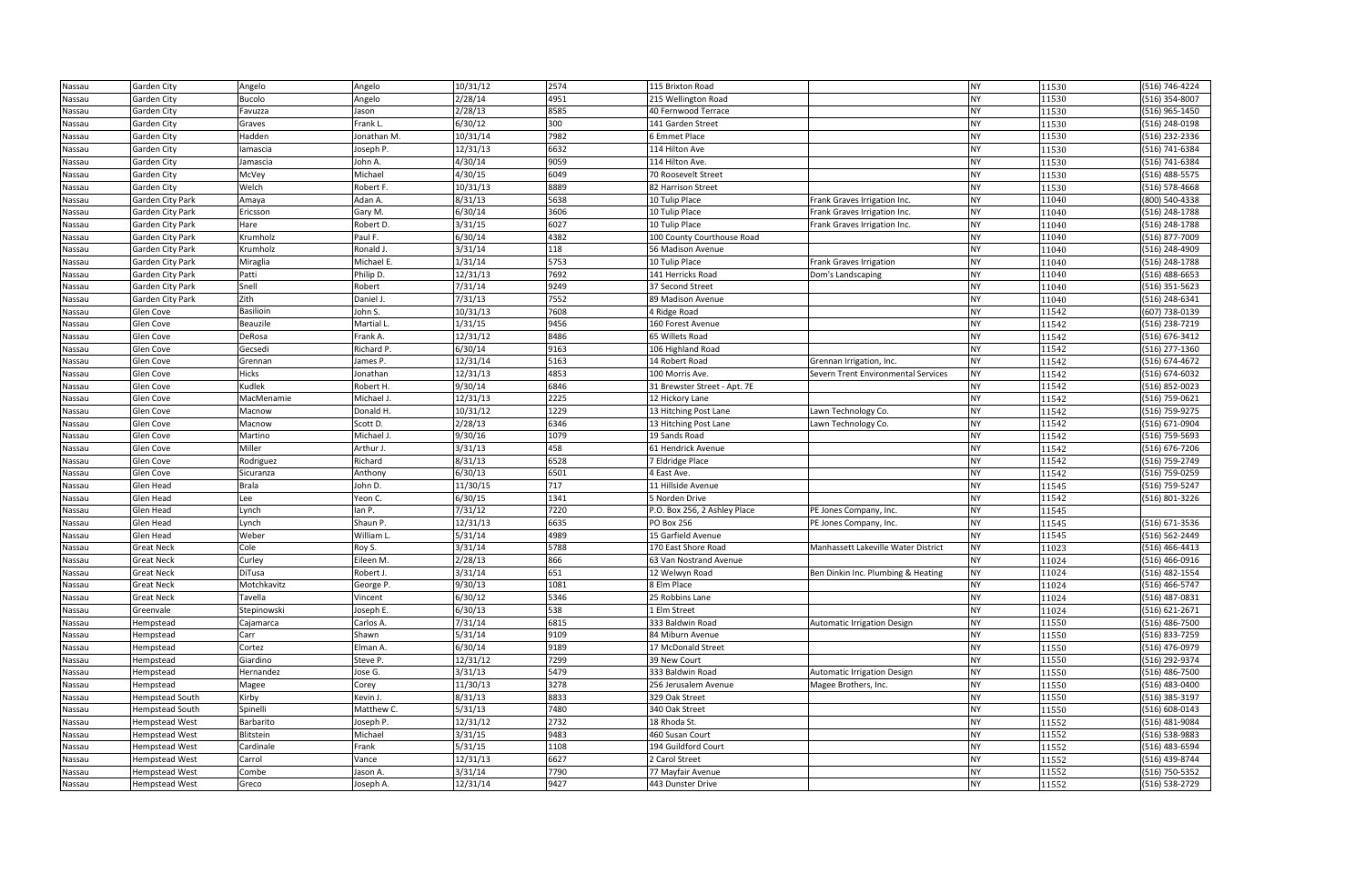| Nassau | <b>Garden City</b>      | Angelo        | Angelo      | 10/31/12 | 2574 | 115 Brixton Road             |                                     | <b>NY</b> | 11530 | (516) 746-4224 |
|--------|-------------------------|---------------|-------------|----------|------|------------------------------|-------------------------------------|-----------|-------|----------------|
| Nassau | Garden City             | <b>Bucolo</b> | Angelo      | 2/28/14  | 4951 | 215 Wellington Road          |                                     | <b>NY</b> | 11530 | (516) 354-8007 |
| Nassau | Garden City             | Favuzza       | Jason       | 2/28/13  | 8585 | 40 Fernwood Terrace          |                                     | <b>NY</b> | 11530 | (516) 965-1450 |
| Nassau | Garden City             | Graves        | Frank L.    | 6/30/12  | 300  | 141 Garden Street            |                                     | <b>NY</b> | 11530 | (516) 248-0198 |
| Nassau | Garden City             | Hadden        | Jonathan M. | 10/31/14 | 7982 | 6 Emmet Place                |                                     | <b>NY</b> | 11530 | (516) 232-2336 |
| Nassau | Garden City             | lamascia      | Joseph P.   | 12/31/13 | 6632 | 114 Hilton Ave               |                                     | <b>NY</b> | 11530 | (516) 741-6384 |
| Nassau | Garden City             | Jamascia      | John A.     | 4/30/14  | 9059 | 114 Hilton Ave.              |                                     | <b>NY</b> | 11530 | (516) 741-6384 |
| Nassau | Garden City             | McVey         | Michael     | 4/30/15  | 6049 | 70 Roosevelt Street          |                                     | <b>NY</b> | 11530 | (516) 488-5575 |
| Nassau | Garden City             | Welch         | Robert F.   | 10/31/13 | 8889 | 82 Harrison Street           |                                     | <b>NY</b> | 11530 | (516) 578-4668 |
| Nassau | Garden City Park        | Amaya         | Adan A.     | 8/31/13  | 5638 | 10 Tulip Place               | Frank Graves Irrigation Inc.        | <b>NY</b> | 11040 | (800) 540-4338 |
| Nassau | Garden City Park        | Ericsson      | Gary M.     | 6/30/14  | 3606 | 10 Tulip Place               | Frank Graves Irrigation Inc.        | <b>NY</b> | 11040 | (516) 248-1788 |
| Nassau | Garden City Park        | Hare          | Robert D.   | 3/31/15  | 6027 | 10 Tulip Place               | Frank Graves Irrigation Inc.        | <b>NY</b> | 11040 | (516) 248-1788 |
| Nassau | Garden City Park        | Krumholz      | Paul F.     | 6/30/14  | 4382 | 100 County Courthouse Road   |                                     | <b>NY</b> | 11040 | (516) 877-7009 |
| Nassau | Garden City Park        | Krumholz      | Ronald J.   | 3/31/14  | 118  | 56 Madison Avenue            |                                     | <b>NY</b> | 11040 | (516) 248-4909 |
| Nassau | Garden City Park        | Miraglia      | Michael E.  | 1/31/14  | 5753 | 10 Tulip Place               | Frank Graves Irrigation             | <b>NY</b> | 11040 | (516) 248-1788 |
| Nassau | Garden City Park        | Patti         | Philip D.   | 12/31/13 | 7692 | 141 Herricks Road            | Dom's Landscaping                   | <b>NY</b> | 11040 | (516) 488-6653 |
| Nassau | Garden City Park        | Snell         | Robert      | 7/31/14  | 9249 | 37 Second Street             |                                     | <b>NY</b> | 11040 | (516) 351-5623 |
| Nassau | <b>Garden City Park</b> | Zith          | Daniel J.   | 7/31/13  | 7552 | 89 Madison Avenue            |                                     | <b>NY</b> | 11040 | (516) 248-6341 |
| Nassau | Glen Cove               | Basilioin     | John S.     | 10/31/13 | 7608 | 4 Ridge Road                 |                                     | <b>NY</b> | 11542 | (607) 738-0139 |
| Nassau | Glen Cove               | Beauzile      | Martial L.  | 1/31/15  | 9456 | 160 Forest Avenue            |                                     | <b>NY</b> | 11542 | (516) 238-7219 |
| Nassau | Glen Cove               | DeRosa        | Frank A.    | 12/31/12 | 8486 | 65 Willets Road              |                                     | <b>NY</b> | 11542 | (516) 676-3412 |
| Nassau | Glen Cove               | Gecsedi       | Richard P.  | 6/30/14  | 9163 | 106 Highland Road            |                                     | <b>NY</b> | 11542 | (516) 277-1360 |
| Nassau | Glen Cove               | Grennan       | James P.    | 12/31/14 | 5163 | 14 Robert Road               | Grennan Irrigation, Inc.            | <b>NY</b> | 11542 | (516) 674-4672 |
| Nassau | Glen Cove               | Hicks         | Jonathan    | 12/31/13 | 4853 | 100 Morris Ave.              | Severn Trent Environmental Services | <b>NY</b> | 11542 | (516) 674-6032 |
| Nassau | Glen Cove               | Kudlek        | Robert H.   | 9/30/14  | 6846 | 31 Brewster Street - Apt. 7E |                                     | <b>NY</b> | 11542 | (516) 852-0023 |
| Nassau | Glen Cove               | MacMenamie    | Michael J.  | 12/31/13 | 2225 | 12 Hickory Lane              |                                     | <b>NY</b> | 11542 | (516) 759-0621 |
| Nassau | Glen Cove               | Macnow        | Donald H.   | 10/31/12 | 1229 | 13 Hitching Post Lane        | Lawn Technology Co.                 | <b>NY</b> | 11542 | (516) 759-9275 |
| Nassau | Glen Cove               | Macnow        | Scott D.    | 2/28/13  | 6346 | 13 Hitching Post Lane        | Lawn Technology Co.                 | <b>NY</b> | 11542 | (516) 671-0904 |
| Nassau | Glen Cove               | Martino       | Michael J.  | 9/30/16  | 1079 | 19 Sands Road                |                                     | <b>NY</b> | 11542 | (516) 759-5693 |
| Nassau | Glen Cove               | Miller        | Arthur J.   | 3/31/13  | 458  | 61 Hendrick Avenue           |                                     | <b>NY</b> | 11542 | (516) 676-7206 |
| Nassau | Glen Cove               | Rodriguez     | Richard     | 8/31/13  | 6528 | 7 Eldridge Place             |                                     | <b>NY</b> | 11542 | (516) 759-2749 |
| Nassau | Glen Cove               | Sicuranza     | Anthony     | 6/30/13  | 6501 | 4 East Ave.                  |                                     | <b>NY</b> | 11542 | (516) 759-0259 |
| Nassau | <b>Glen Head</b>        | <b>Brala</b>  | John D.     | 11/30/15 | 717  | 11 Hillside Avenue           |                                     | <b>NY</b> | 11545 | (516) 759-5247 |
| Nassau | Glen Head               | Lee           | Yeon C.     | 6/30/15  | 1341 | 5 Norden Drive               |                                     | <b>NY</b> | 11542 | (516) 801-3226 |
| Nassau | Glen Head               | Lynch         | lan P.      | 7/31/12  | 7220 | P.O. Box 256, 2 Ashley Place | PE Jones Company, Inc.              | <b>NY</b> | 11545 |                |
| Nassau | Glen Head               | Lynch         | Shaun P.    | 12/31/13 | 6635 | <b>PO Box 256</b>            | PE Jones Company, Inc.              | <b>NY</b> | 11545 | (516) 671-3536 |
| Nassau | Glen Head               | Weber         | William L.  | 5/31/14  | 4989 | 15 Garfield Avenue           |                                     | <b>NY</b> | 11545 | (516) 562-2449 |
| Nassau | <b>Great Neck</b>       | Cole          | Roy S.      | 3/31/14  | 5788 | 170 East Shore Road          | Manhassett Lakeville Water District | <b>NY</b> | 11023 | (516) 466-4413 |
| Nassau | <b>Great Neck</b>       | Curley        | Eileen M.   | 2/28/13  | 866  | 63 Van Nostrand Avenue       |                                     | <b>NY</b> | 11024 | (516) 466-0916 |
| Nassau | <b>Great Neck</b>       | DiTusa        | Robert J.   | 3/31/14  | 651  | 12 Welwyn Road               | Ben Dinkin Inc. Plumbing & Heating  | <b>NY</b> | 11024 | (516) 482-1554 |
| Nassau | <b>Great Neck</b>       | Motchkavitz   | George P.   | 9/30/13  | 1081 | 8 Elm Place                  |                                     | <b>NY</b> | 11024 | (516) 466-5747 |
| Nassau | <b>Great Neck</b>       | Tavella       | Vincent     | 6/30/12  | 5346 | 25 Robbins Lane              |                                     | <b>NY</b> | 11024 | (516) 487-0831 |
| Nassau | Greenvale               | Stepinowski   | Joseph E.   | 6/30/13  | 538  | 1 Elm Street                 |                                     | <b>NY</b> | 11024 | (516) 621-2671 |
| Nassau | Hempstead               | Cajamarca     | Carlos A.   | 7/31/14  | 6815 | 333 Baldwin Road             | <b>Automatic Irrigation Design</b>  | <b>NY</b> | 11550 | (516) 486-7500 |
| Nassau | Hempstead               | Carr          | Shawn       | 5/31/14  | 9109 | 84 Miburn Avenue             |                                     | <b>NY</b> | 11550 | (516) 833-7259 |
| Nassau | Hempstead               | Cortez        | Elman A.    | 6/30/14  | 9189 | 17 McDonald Street           |                                     | <b>NY</b> | 11550 | (516) 476-0979 |
| Nassau | Hempstead               | Giardino      | Steve P.    | 12/31/12 | 7299 | 39 New Court                 |                                     | <b>NY</b> | 11550 | (516) 292-9374 |
| Nassau | Hempstead               | Hernandez     | Jose G.     | 3/31/13  | 5479 | 333 Baldwin Road             | Automatic Irrigation Design         | <b>NY</b> | 11550 | (516) 486-7500 |
| Nassau | Hempstead               | Magee         | Corey       | 11/30/13 | 3278 | 256 Jerusalem Avenue         | Magee Brothers, Inc.                | <b>NY</b> | 11550 | (516) 483-0400 |
| Nassau | <b>Hempstead South</b>  | Kirby         | Kevin J.    | 8/31/13  | 8833 | 329 Oak Street               |                                     | <b>NY</b> | 11550 | (516) 385-3197 |
| Nassau | Hempstead South         | Spinelli      | Matthew C.  | 5/31/13  | 7480 | 340 Oak Street               |                                     | <b>NY</b> | 11550 | (516) 608-0143 |
| Nassau | <b>Hempstead West</b>   | Barbarito     | Joseph P.   | 12/31/12 | 2732 | 18 Rhoda St.                 |                                     | <b>NY</b> | 11552 | (516) 481-9084 |
| Nassau | <b>Hempstead West</b>   | Blitstein     | Michael     | 3/31/15  | 9483 | 460 Susan Court              |                                     | <b>NY</b> | 11552 | (516) 538-9883 |
| Nassau | <b>Hempstead West</b>   | Cardinale     | Frank       | 5/31/15  | 1108 | 194 Guildford Court          |                                     | <b>NY</b> | 11552 | (516) 483-6594 |
| Nassau | <b>Hempstead West</b>   | Carrol        | Vance       | 12/31/13 | 6627 | 2 Carol Street               |                                     | <b>NY</b> | 11552 | (516) 439-8744 |
| Nassau | <b>Hempstead West</b>   | Combe         | Jason A.    | 3/31/14  | 7790 | 77 Mayfair Avenue            |                                     | <b>NY</b> | 11552 | (516) 750-5352 |
| Nassau | <b>Hempstead West</b>   | Greco         | Joseph A.   | 12/31/14 | 9427 | 443 Dunster Drive            |                                     | <b>NY</b> | 11552 | (516) 538-2729 |

| 11530          | (516) 746-4224                   |
|----------------|----------------------------------|
| 11530          | (516) 354-8007                   |
| 11530          | (516) 965-1450                   |
| 11530          | (516) 248-0198                   |
| 11530          | (516) 232-2336                   |
| 11530          | (516) 741-6384                   |
| 11530          | (516) 741-6384                   |
| 11530          | (516) 488-5575                   |
| 11530          | $(516) 578 - 4668$               |
| 11040          | (800) 540-4338                   |
| 11040          | (516) 248-1788                   |
| 11040          | (516) 248-1788                   |
| 11040          | (516) 877-7009                   |
| 11040          | (516) 248-4909                   |
| 11040          | (516) 248-1788                   |
| 11040          | $(516)$ 488-6653                 |
| 11040          | $(516)$ 351-5623                 |
| 11040          | (516) 248-6341                   |
| 11542          | (607) 738-0139                   |
| 11542          | (516) 238-7219                   |
| 11542          | (516) 676-3412                   |
| 11542          | (516) 277-1360                   |
| 11542          | (516) 674-4672                   |
| 11542          | (516) 674-6032                   |
| 11542          | (516) 852-0023                   |
| 11542          | (516) 759-0621                   |
| 11542          | (516) 759-9275                   |
| 11542          | (516) 671-0904                   |
| 11542          | (516) 759-5693                   |
| 11542          | (516) 676-7206                   |
| 11542          | (516) 759-2749                   |
| 11542          | (516) 759-0259                   |
| 11545          | (516) 759-5247                   |
| 11542          | (516) 801-3226                   |
| 11545          |                                  |
| 11545          | (516) 671-3536                   |
| 11545          | (516) 562-2449                   |
| 11023          | (516) 466-4413                   |
| 11024          | (516) 466-0916                   |
| 11024          | (516) 482-1554                   |
| 11024          | (516) 466-5747                   |
| 11024          | (516) 487-0831                   |
| 11024          | (516) 621-2671                   |
| 11550<br>11550 | (516) 486-7500<br>(516) 833-7259 |
| 11550          | (516) 476-0979                   |
| 11550          | (516) 292-9374                   |
| 11550          | (516) 486-7500                   |
| 11550          | (516) 483-0400                   |
| 11550          | (516) 385-3197                   |
| 11550          | (516) 608-0143                   |
| 11552          | (516) 481-9084                   |
| 11552          | (516) 538-9883                   |
| 11552          | (516) 483-6594                   |
| 11552          | (516) 439-8744                   |
| 11552          | (516) 750-5352                   |
| 11552          | (516) 538-2729                   |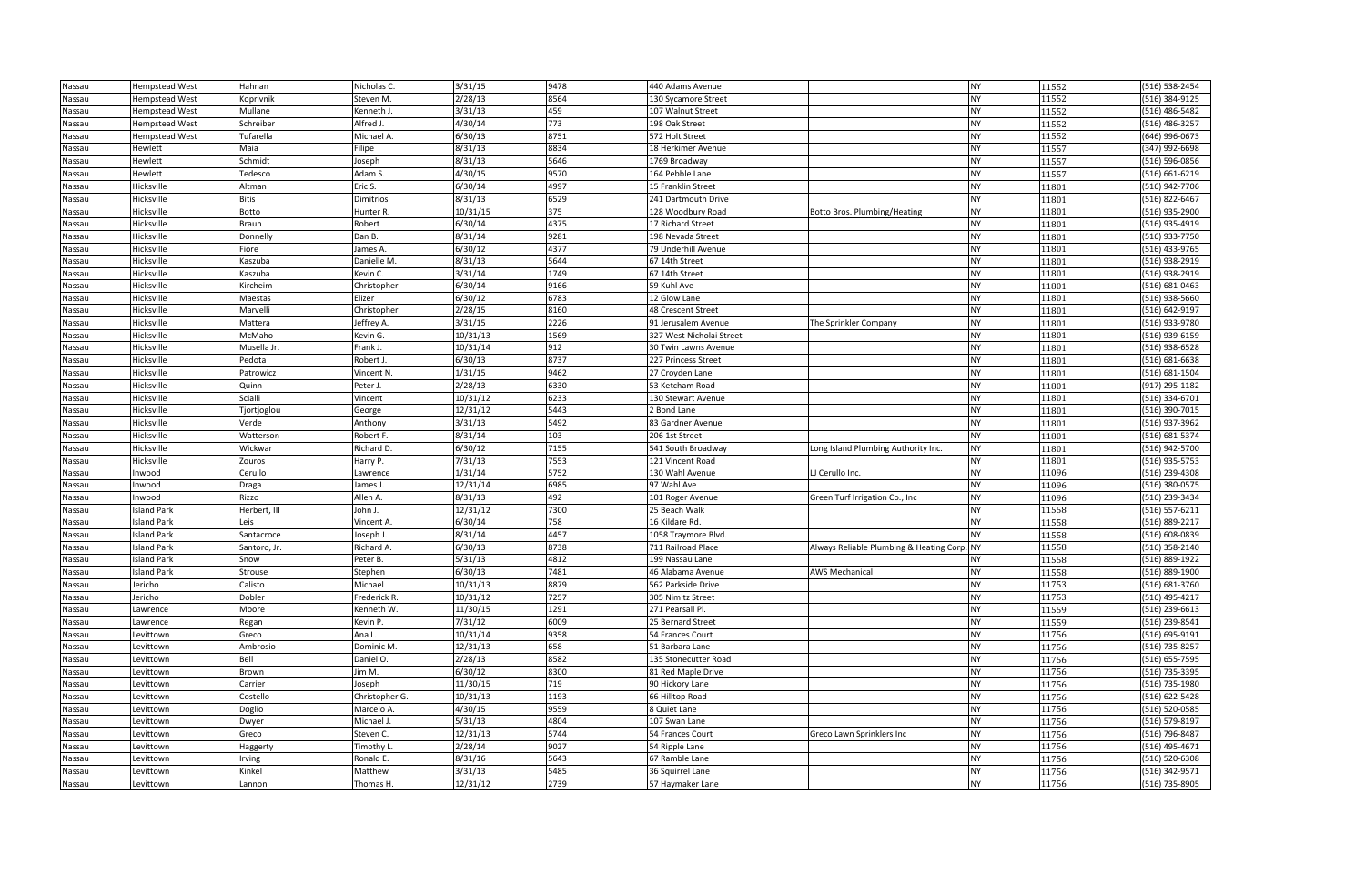| Nassau | <b>Hempstead West</b> | Hahnan       | Nicholas C.    | 3/31/15  | 9478 | 440 Adams Avenue         |                                             | <b>NY</b> | 11552 | (516) 538-2454 |
|--------|-----------------------|--------------|----------------|----------|------|--------------------------|---------------------------------------------|-----------|-------|----------------|
| Nassau | Hempstead West        | Koprivnik    | Steven M.      | 2/28/13  | 8564 | 130 Sycamore Street      |                                             | <b>NY</b> | 11552 | (516) 384-9125 |
| Nassau | <b>Hempstead West</b> | Mullane      | Kenneth J.     | 3/31/13  | 459  | 107 Walnut Street        |                                             | <b>NY</b> | 11552 | (516) 486-5482 |
| Nassau | <b>Hempstead West</b> | Schreiber    | Alfred J.      | 4/30/14  | 773  | 198 Oak Street           |                                             | <b>NY</b> | 11552 | (516) 486-3257 |
| Nassau | <b>Hempstead West</b> | Tufarella    | Michael A.     | 6/30/13  | 8751 | 572 Holt Street          |                                             | <b>NY</b> | 11552 | (646) 996-0673 |
| Nassau | Hewlett               | Maia         | Filipe         | 8/31/13  | 8834 | 18 Herkimer Avenue       |                                             | <b>NY</b> | 11557 | (347) 992-6698 |
| Nassau | Hewlett               | Schmidt      | Joseph         | 8/31/13  | 5646 | 1769 Broadway            |                                             | <b>NY</b> | 11557 | (516) 596-0856 |
| Nassau | Hewlett               | Tedesco      | Adam S.        | 4/30/15  | 9570 | 164 Pebble Lane          |                                             | <b>NY</b> | 11557 | (516) 661-6219 |
| Nassau | Hicksville            | Altman       | Eric S.        | 6/30/14  | 4997 | 15 Franklin Street       |                                             | <b>NY</b> | 11801 | (516) 942-7706 |
| Nassau | Hicksville            | Bitis        | Dimitrios      | 8/31/13  | 6529 | 241 Dartmouth Drive      |                                             | <b>NY</b> | 11801 | (516) 822-6467 |
| Nassau | Hicksville            | Botto        | Hunter R.      | 10/31/15 | 375  | 128 Woodbury Road        | Botto Bros. Plumbing/Heating                | <b>NY</b> | 11801 | (516) 935-2900 |
| Nassau | Hicksville            | <b>Braun</b> | Robert         | 6/30/14  | 4375 | 17 Richard Street        |                                             | <b>NY</b> | 11801 | (516) 935-4919 |
| Nassau | Hicksville            | Donnelly     | Dan B.         | 8/31/14  | 9281 | 198 Nevada Street        |                                             | <b>NY</b> | 11801 | (516) 933-7750 |
| Nassau | Hicksville            | Fiore        | James A.       | 6/30/12  | 4377 | 79 Underhill Avenue      |                                             | <b>NY</b> | 11801 | (516) 433-9765 |
| Nassau | Hicksville            | Kaszuba      | Danielle M.    | 8/31/13  | 5644 | 67 14th Street           |                                             | <b>NY</b> | 11801 | (516) 938-2919 |
| Nassau | Hicksville            | Kaszuba      | Kevin C.       | 3/31/14  | 1749 | 67 14th Street           |                                             | <b>NY</b> | 11801 | (516) 938-2919 |
| Nassau | Hicksville            | Kircheim     | Christopher    | 6/30/14  | 9166 | 59 Kuhl Ave              |                                             | <b>NY</b> | 11801 | (516) 681-0463 |
| Nassau | Hicksville            | Maestas      | Elizer         | 6/30/12  | 6783 | 12 Glow Lane             |                                             | <b>NY</b> | 11801 | (516) 938-5660 |
| Nassau | Hicksville            | Marvelli     | Christopher    | 2/28/15  | 8160 | 48 Crescent Street       |                                             | <b>NY</b> | 11801 | (516) 642-9197 |
| Nassau | Hicksville            | Mattera      | Jeffrey A.     | 3/31/15  | 2226 | 91 Jerusalem Avenue      | The Sprinkler Company                       | <b>NY</b> | 11801 | (516) 933-9780 |
| Nassau | Hicksville            | McMaho       | Kevin G.       | 10/31/13 | 1569 | 327 West Nicholai Street |                                             | <b>NY</b> | 11801 | (516) 939-6159 |
| Nassau | Hicksville            | Musella Jr.  | Frank J.       | 10/31/14 | 912  | 30 Twin Lawns Avenue     |                                             | <b>NY</b> | 11801 | (516) 938-6528 |
| Nassau | Hicksville            | Pedota       | Robert J.      | 6/30/13  | 8737 | 227 Princess Street      |                                             | <b>NY</b> | 11801 | (516) 681-6638 |
| Nassau | Hicksville            | Patrowicz    | Vincent N.     | 1/31/15  | 9462 | 27 Croyden Lane          |                                             | <b>NY</b> | 11801 | (516) 681-1504 |
| Nassau | Hicksville            | Quinn        | Peter J.       | 2/28/13  | 6330 | 53 Ketcham Road          |                                             | <b>NY</b> | 11801 | (917) 295-1182 |
| Nassau | Hicksville            | Scialli      | Vincent        | 10/31/12 | 6233 | 130 Stewart Avenue       |                                             | <b>NY</b> | 11801 | (516) 334-6701 |
| Nassau | Hicksville            | Tjortjoglou  | George         | 12/31/12 | 5443 | 2 Bond Lane              |                                             | <b>NY</b> | 11801 | (516) 390-7015 |
| Nassau | Hicksville            | Verde        | Anthony        | 3/31/13  | 5492 | 83 Gardner Avenue        |                                             | <b>NY</b> | 11801 | (516) 937-3962 |
| Nassau | Hicksville            | Watterson    | Robert F.      | 8/31/14  | 103  | 206 1st Street           |                                             | <b>NY</b> | 11801 | (516) 681-5374 |
| Nassau | Hicksville            | Wickwar      | Richard D.     | 6/30/12  | 7155 | 541 South Broadway       | Long Island Plumbing Authority Inc.         | <b>NY</b> | 11801 | (516) 942-5700 |
| Nassau | Hicksville            | Zouros       | Harry P.       | 7/31/13  | 7553 | 121 Vincent Road         |                                             | <b>NY</b> | 11801 | (516) 935-5753 |
| Nassau | Inwood                | Cerullo      | Lawrence       | 1/31/14  | 5752 | 130 Wahl Avenue          | LJ Cerullo Inc.                             | <b>NY</b> | 11096 | (516) 239-4308 |
| Nassau | Inwood                | Draga        | James J.       | 12/31/14 | 6985 | 97 Wahl Ave              |                                             | <b>NY</b> | 11096 | (516) 380-0575 |
| Nassau | Inwood                | Rizzo        | Allen A.       | 8/31/13  | 492  | 101 Roger Avenue         | Green Turf Irrigation Co., Inc.             | <b>NY</b> | 11096 | (516) 239-3434 |
| Nassau | <b>Island Park</b>    | Herbert, III | John J.        | 12/31/12 | 7300 | 25 Beach Walk            |                                             | <b>NY</b> | 11558 | (516) 557-6211 |
| Nassau | <b>Island Park</b>    | Leis         | Vincent A.     | 6/30/14  | 758  | 16 Kildare Rd.           |                                             | <b>NY</b> | 11558 | (516) 889-2217 |
| Nassau | <b>Island Park</b>    | Santacroce   | Joseph J.      | 8/31/14  | 4457 | 1058 Traymore Blvd.      |                                             | <b>NY</b> | 11558 | (516) 608-0839 |
| Nassau | <b>Island Park</b>    | Santoro, Jr. | Richard A.     | 6/30/13  | 8738 | 711 Railroad Place       | Always Reliable Plumbing & Heating Corp. NY |           | 11558 | (516) 358-2140 |
| Nassau | <b>Island Park</b>    | Snow         | Peter B.       | 5/31/13  | 4812 | 199 Nassau Lane          |                                             | NY        | 11558 | (516) 889-1922 |
| Nassau | <b>Island Park</b>    | Strouse      | Stephen        | 6/30/13  | 7481 | 46 Alabama Avenue        | <b>AWS Mechanical</b>                       | <b>NY</b> | 11558 | (516) 889-1900 |
| Nassau | Jericho               | Calisto      | Michael        | 10/31/13 | 8879 | 562 Parkside Drive       |                                             | <b>NY</b> | 11753 | (516) 681-3760 |
| Nassau | Jericho               | Dobler       | Frederick R.   | 10/31/12 | 7257 | 305 Nimitz Street        |                                             | NY        | 11753 | (516) 495-4217 |
| Nassau | Lawrence              | Moore        | Kenneth W.     | 11/30/15 | 1291 | 271 Pearsall Pl.         |                                             | <b>NY</b> | 11559 | (516) 239-6613 |
| Nassau | Lawrence              | Regan        | Kevin P.       | 7/31/12  | 6009 | 25 Bernard Street        |                                             | <b>NY</b> | 11559 | (516) 239-8541 |
| Nassau | Levittown             | Greco        | Ana L.         | 10/31/14 | 9358 | 54 Frances Court         |                                             | <b>NY</b> | 11756 | (516) 695-9191 |
| Nassau | Levittown             | Ambrosio     | Dominic M.     | 12/31/13 | 658  | 51 Barbara Lane          |                                             | <b>NY</b> | 11756 | (516) 735-8257 |
| Nassau | Levittown             | Bell         | Daniel O.      | 2/28/13  | 8582 | 135 Stonecutter Road     |                                             | <b>NY</b> | 11756 | (516) 655-7595 |
| Nassau | Levittown             | Brown        | Jim M.         | 6/30/12  | 8300 | 81 Red Maple Drive       |                                             | <b>NY</b> | 11756 | (516) 735-3395 |
| Nassau | Levittown             | Carrier      | Joseph         | 11/30/15 | 719  | 90 Hickory Lane          |                                             | <b>NY</b> | 11756 | (516) 735-1980 |
| Nassau | Levittown             | Costello     | Christopher G. | 10/31/13 | 1193 | 66 Hilltop Road          |                                             | <b>NY</b> | 11756 | (516) 622-5428 |
| Nassau | Levittown             | Doglio       | Marcelo A.     | 4/30/15  | 9559 | 8 Quiet Lane             |                                             | <b>NY</b> | 11756 | (516) 520-0585 |
| Nassau | Levittown             | Dwyer        | Michael J.     | 5/31/13  | 4804 | 107 Swan Lane            |                                             | <b>NY</b> | 11756 | (516) 579-8197 |
| Nassau | Levittown             | Greco        | Steven C.      | 12/31/13 | 5744 | 54 Frances Court         | Greco Lawn Sprinklers Inc                   | <b>NY</b> | 11756 | (516) 796-8487 |
| Nassau | Levittown             | Haggerty     | Timothy L.     | 2/28/14  | 9027 | 54 Ripple Lane           |                                             | <b>NY</b> | 11756 | (516) 495-4671 |
| Nassau | Levittown             | Irving       | Ronald E.      | 8/31/16  | 5643 | 67 Ramble Lane           |                                             | <b>NY</b> | 11756 | (516) 520-6308 |
| Nassau | Levittown             | Kinkel       | Matthew        | 3/31/13  | 5485 | 36 Squirrel Lane         |                                             | <b>NY</b> | 11756 | (516) 342-9571 |
| Nassau | Levittown             | Lannon       | Thomas H.      | 12/31/12 | 2739 | 57 Haymaker Lane         |                                             | <b>NY</b> | 11756 | (516) 735-8905 |

| 11552          | (516) 538-2454                   |
|----------------|----------------------------------|
| 11552          | (516) 384-9125                   |
| 11552          | (516) 486-5482                   |
| 11552          | (516) 486-3257                   |
| 11552          | (646) 996-0673                   |
| 11557          | (347) 992-6698                   |
| 11557          | (516) 596-0856                   |
| 11557          | (516) 661-6219                   |
| 11801          | (516) 942-7706                   |
| 11801          | (516) 822-6467                   |
| 11801          | (516) 935-2900                   |
| 11801          | (516) 935-4919                   |
| 11801          | (516) 933-7750                   |
| 11801          | (516) 433-9765                   |
| 11801          | (516) 938-2919                   |
| 11801          | (516) 938-2919                   |
| 11801          | $(516) 681 - 0463$               |
| 11801          | (516) 938-5660                   |
| 11801          | (516) 642-9197                   |
| 11801          | (516) 933-9780                   |
| 11801          | (516) 939-6159                   |
| 11801          | (516) 938-6528                   |
| 11801          | (516) 681-6638                   |
| 11801          | (516) 681-1504                   |
| 11801          | $(917)$ 295-1182                 |
| 11801          | (516) 334-6701                   |
| 11801          | (516) 390-7015                   |
| 11801          | (516) 937-3962                   |
| 11801          | (516) 681-5374                   |
| 11801          | (516) 942-5700                   |
| 11801          | (516) 935-5753                   |
| 11096          | (516) 239-4308                   |
| 11096          | (516) 380-0575                   |
| 11096          | (516) 239-3434                   |
| 11558          | (516) 557-6211                   |
| 11558          | (516) 889-2217                   |
| 11558          | (516) 608-0839                   |
| 11558          | (516) 358-2140                   |
| 11558          | (516) 889-1922                   |
| 11558          | (516) 889-1900                   |
| 11753          | (516) 681-3760                   |
| 11753          | (516) 495-4217                   |
| 11559          | (516) 239-6613                   |
| 11559          | (516) 239-8541                   |
| 11756          | (516) 695-9191                   |
| 11756          | (516) 735-8257                   |
| 11756<br>11756 | (516) 655-7595<br>(516) 735-3395 |
| 11756          | (516) 735-1980                   |
| 11756          | (516) 622-5428                   |
| 11756          | (516) 520-0585                   |
| 11756          | (516) 579-8197                   |
| 11756          | (516) 796-8487                   |
| 11756          | (516) 495-4671                   |
|                |                                  |
|                |                                  |
| 11756<br>11756 | (516) 520-6308<br>(516) 342-9571 |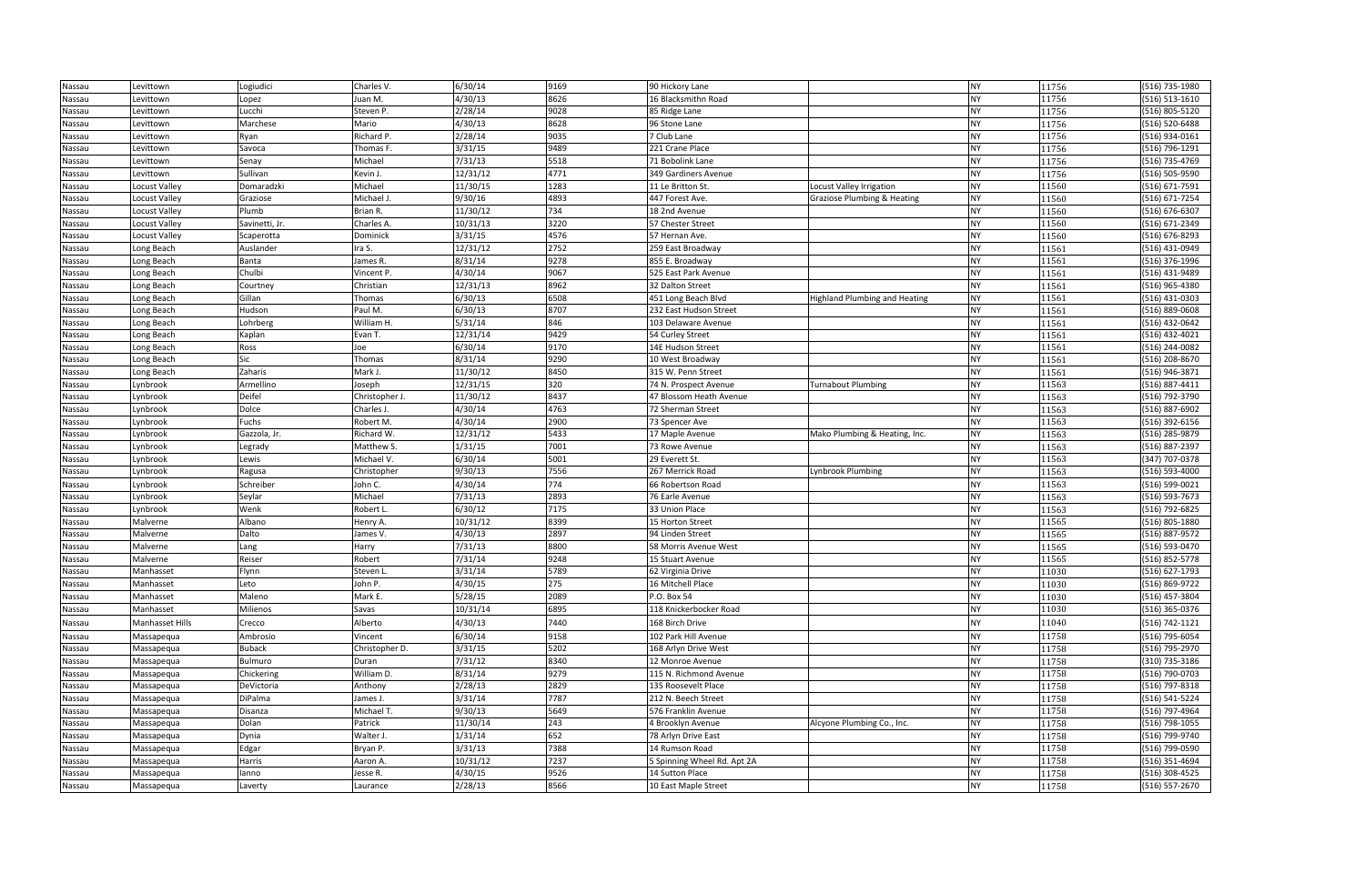| Nassau | Levittown            | Logiudici      | Charles V.     | 6/30/14  | 9169 | 90 Hickory Lane             |                                      | <b>NY</b> | 11756 | (516) 735-1980 |
|--------|----------------------|----------------|----------------|----------|------|-----------------------------|--------------------------------------|-----------|-------|----------------|
| Nassau | Levittown            | Lopez          | Juan M.        | 4/30/13  | 8626 | 16 Blacksmithn Road         |                                      | <b>NY</b> | 11756 | (516) 513-1610 |
| Nassau | Levittown            | Lucchi         | Steven P.      | 2/28/14  | 9028 | 85 Ridge Lane               |                                      | <b>NY</b> | 11756 | (516) 805-5120 |
| Nassau | Levittown            | Marchese       | Mario          | 4/30/13  | 8628 | 96 Stone Lane               |                                      | <b>NY</b> | 11756 | (516) 520-6488 |
| Nassau | Levittown            | Ryan           | Richard P.     | 2/28/14  | 9035 | 7 Club Lane                 |                                      | <b>NY</b> | 11756 | (516) 934-0161 |
| Nassau | Levittown            | Savoca         | Thomas F.      | 3/31/15  | 9489 | 221 Crane Place             |                                      | <b>NY</b> | 11756 | (516) 796-1291 |
| Nassau | Levittown            | Senay          | Michael        | 7/31/13  | 5518 | 71 Bobolink Lane            |                                      | <b>NY</b> | 11756 | (516) 735-4769 |
| Nassau | Levittown            | Sullivan       | Kevin J.       | 12/31/12 | 4771 | 349 Gardiners Avenue        |                                      | <b>NY</b> | 11756 | (516) 505-9590 |
| Nassau | Locust Valley        | Domaradzki     | Michael        | 11/30/15 | 1283 | 11 Le Britton St.           | Locust Valley Irrigation             | <b>NY</b> | 11560 | (516) 671-7591 |
| Nassau | Locust Valley        | Graziose       | Michael J.     | 9/30/16  | 4893 | 447 Forest Ave.             | Graziose Plumbing & Heating          | <b>NY</b> | 11560 | (516) 671-7254 |
| Nassau | Locust Valley        | Plumb          | Brian R.       | 11/30/12 | 734  | 18 2nd Avenue               |                                      | <b>NY</b> | 11560 | (516) 676-6307 |
| Nassau | <b>Locust Valley</b> | Savinetti, Jr. | Charles A.     | 10/31/13 | 3220 | 57 Chester Street           |                                      | <b>NY</b> | 11560 | (516) 671-2349 |
| Nassau | Locust Valley        | Scaperotta     | Dominick       | 3/31/15  | 4576 | 57 Hernan Ave.              |                                      | <b>NY</b> | 11560 | (516) 676-8293 |
| Nassau | Long Beach           | Auslander      | Ira S.         | 12/31/12 | 2752 | 259 East Broadway           |                                      | <b>NY</b> | 11561 | (516) 431-0949 |
| Nassau | Long Beach           | Banta          | James R.       | 8/31/14  | 9278 | 855 E. Broadway             |                                      | <b>NY</b> | 11561 | (516) 376-1996 |
| Nassau | Long Beach           | Chulbi         | Vincent P.     | 4/30/14  | 9067 | 525 East Park Avenue        |                                      | <b>NY</b> | 11561 | (516) 431-9489 |
| Nassau | Long Beach           | Courtney       | Christian      | 12/31/13 | 8962 | 32 Dalton Street            |                                      | <b>NY</b> | 11561 | (516) 965-4380 |
| Nassau | Long Beach           | Gillan         | Thomas         | 6/30/13  | 6508 | 451 Long Beach Blvd         | <b>Highland Plumbing and Heating</b> | <b>NY</b> | 11561 | (516) 431-0303 |
| Nassau | Long Beach           | Hudson         | Paul M.        | 6/30/13  | 8707 | 232 East Hudson Street      |                                      | <b>NY</b> | 11561 | (516) 889-0608 |
| Nassau | Long Beach           | Lohrberg       | William H.     | 5/31/14  | 846  | 103 Delaware Avenue         |                                      | <b>NY</b> | 11561 | (516) 432-0642 |
| Nassau | Long Beach           | Kaplan         | Evan T.        | 12/31/14 | 9429 | 54 Curley Street            |                                      | <b>NY</b> | 11561 | (516) 432-4021 |
| Nassau | Long Beach           | Ross           | Joe            | 6/30/14  | 9170 | 14E Hudson Street           |                                      | <b>NY</b> | 11561 | (516) 244-0082 |
| Nassau | Long Beach           | Sic            | Thomas         | 8/31/14  | 9290 | 10 West Broadway            |                                      | <b>NY</b> | 11561 | (516) 208-8670 |
| Nassau | Long Beach           | Zaharis        | Mark J.        | 11/30/12 | 8450 | 315 W. Penn Street          |                                      | <b>NY</b> | 11561 | (516) 946-3871 |
| Nassau | Lynbrook             | Armellino      | Joseph         | 12/31/15 | 320  | 74 N. Prospect Avenue       | <b>Turnabout Plumbing</b>            | <b>NY</b> | 11563 | (516) 887-4411 |
| Nassau | Lynbrook             | Deifel         | Christopher J. | 11/30/12 | 8437 | 47 Blossom Heath Avenue     |                                      | <b>NY</b> | 11563 | (516) 792-3790 |
| Nassau | Lynbrook             | Dolce          | Charles J.     | 4/30/14  | 4763 | 72 Sherman Street           |                                      | <b>NY</b> | 11563 | (516) 887-6902 |
| Nassau | Lynbrook             | Fuchs          | Robert M.      | 4/30/14  | 2900 | 73 Spencer Ave              |                                      | <b>NY</b> | 11563 | (516) 392-6156 |
| Nassau | Lynbrook             | Gazzola, Jr.   | Richard W.     | 12/31/12 | 5433 | 17 Maple Avenue             | Mako Plumbing & Heating, Inc.        | <b>NY</b> | 11563 | (516) 285-9879 |
| Nassau | Lynbrook             | Legrady        | Matthew S.     | 1/31/15  | 7001 | 73 Rowe Avenue              |                                      | <b>NY</b> | 11563 | (516) 887-2397 |
| Nassau | Lynbrook             | Lewis          | Michael V.     | 6/30/14  | 5001 | 29 Everett St.              |                                      | <b>NY</b> | 11563 | (347) 707-0378 |
| Nassau | Lynbrook             | Ragusa         | Christopher    | 9/30/13  | 7556 | 267 Merrick Road            | Lynbrook Plumbing                    | <b>NY</b> | 11563 | (516) 593-4000 |
| Nassau | Lynbrook             | Schreiber      | John C.        | 4/30/14  | 774  | 66 Robertson Road           |                                      | <b>NY</b> | 11563 | (516) 599-0021 |
| Nassau | Lynbrook             | Seylar         | Michael        | 7/31/13  | 2893 | 76 Earle Avenue             |                                      | <b>NY</b> | 11563 | (516) 593-7673 |
| Nassau | Lynbrook             | Wenk           | Robert L.      | 6/30/12  | 7175 | 33 Union Place              |                                      | <b>NY</b> | 11563 | (516) 792-6825 |
| Nassau | Malverne             | Albano         | Henry A.       | 10/31/12 | 8399 | 15 Horton Street            |                                      | <b>NY</b> | 11565 | (516) 805-1880 |
| Nassau | Malverne             | Dalto          | James V.       | 4/30/13  | 2897 | 94 Linden Street            |                                      | <b>NY</b> | 11565 | (516) 887-9572 |
| Nassau | Malverne             | Lang           | Harry          | 7/31/13  | 8800 | 58 Morris Avenue West       |                                      | <b>NY</b> | 11565 | (516) 593-0470 |
| Nassau | Malverne             | Reiser         | Robert         | 7/31/14  | 9248 | 15 Stuart Avenue            |                                      | <b>NY</b> | 11565 | (516) 852-5778 |
| Nassau | Manhasset            | Flynn          | Steven L.      | 3/31/14  | 5789 | 62 Virginia Drive           |                                      | <b>NY</b> | 11030 | (516) 627-1793 |
| Nassau | Manhasset            | Leto           | John P.        | 4/30/15  | 275  | 16 Mitchell Place           |                                      | <b>NY</b> | 11030 | (516) 869-9722 |
| Nassau | Manhasset            | Maleno         | Mark E.        | 5/28/15  | 2089 | P.O. Box 54                 |                                      | <b>NY</b> | 11030 | (516) 457-3804 |
| Nassau | Manhasset            | Milienos       | Savas          | 10/31/14 | 6895 | 118 Knickerbocker Road      |                                      | <b>NY</b> | 11030 | (516) 365-0376 |
| Nassau | Manhasset Hills      | Crecco         | Alberto        | 4/30/13  | 7440 | 168 Birch Drive             |                                      | <b>NY</b> | 11040 | (516) 742-1121 |
| Nassau | Massapequa           | Ambrosio       | Vincent        | 6/30/14  | 9158 | 102 Park Hill Avenue        |                                      | <b>NY</b> | 11758 | (516) 795-6054 |
| Nassau | Massapequa           | Buback         | Christopher D. | 3/31/15  | 5202 | 168 Arlyn Drive West        |                                      | <b>NY</b> | 11758 | (516) 795-2970 |
| Nassau | Massapequa           | Bulmuro        | Duran          | 7/31/12  | 8340 | 12 Monroe Avenue            |                                      | <b>NY</b> | 11758 | (310) 735-3186 |
| Nassau | Massapequa           | Chickering     | William D.     | 8/31/14  | 9279 | 115 N. Richmond Avenue      |                                      | <b>NY</b> | 11758 | (516) 790-0703 |
| Nassau | Massapequa           | DeVictoria     | Anthony        | 2/28/13  | 2829 | 135 Roosevelt Place         |                                      | <b>NY</b> | 11758 | (516) 797-8318 |
| Nassau | Massapequa           | DiPalma        | James J.       | 3/31/14  | 7787 | 212 N. Beech Street         |                                      | <b>NY</b> | 11758 | (516) 541-5224 |
| Nassau | Massapequa           | Disanza        | Michael T.     | 9/30/13  | 5649 | 576 Franklin Avenue         |                                      | <b>NY</b> | 11758 | (516) 797-4964 |
| Nassau | Massapequa           | Dolan          | Patrick        | 11/30/14 | 243  | 4 Brooklyn Avenue           | Alcyone Plumbing Co., Inc.           | <b>NY</b> | 11758 | (516) 798-1055 |
| Nassau | Massapequa           | Dynia          | Walter J.      | 1/31/14  | 652  | 78 Arlyn Drive East         |                                      | <b>NY</b> | 11758 | (516) 799-9740 |
| Nassau | Massapequa           | Edgar          | Bryan P.       | 3/31/13  | 7388 | 14 Rumson Road              |                                      | <b>NY</b> | 11758 | (516) 799-0590 |
| Nassau | Massapequa           | Harris         | Aaron A.       | 10/31/12 | 7237 | 5 Spinning Wheel Rd. Apt 2A |                                      | <b>NY</b> | 11758 | (516) 351-4694 |
| Nassau | Massapequa           | lanno          | Jesse R.       | 4/30/15  | 9526 | 14 Sutton Place             |                                      | <b>NY</b> | 11758 | (516) 308-4525 |
| Nassau | Massapequa           | Laverty        | Laurance       | 2/28/13  | 8566 | 10 East Maple Street        |                                      | <b>NY</b> | 11758 | (516) 557-2670 |

| 11756 | (516) 735-1980     |
|-------|--------------------|
| 11756 | (516) 513-1610     |
| 11756 | (516) 805-5120     |
| 11756 | $(516) 520 - 6488$ |
| 11756 | (516) 934-0161     |
| 11756 | (516) 796-1291     |
| 11756 | (516) 735-4769     |
| 11756 | (516) 505-9590     |
| 11560 | (516) 671-7591     |
| 11560 | (516) 671-7254     |
| 11560 | (516) 676-6307     |
| 11560 | (516) 671-2349     |
| 11560 | (516) 676-8293     |
| 11561 | (516) 431-0949     |
| 11561 | (516) 376-1996     |
| 11561 | (516) 431-9489     |
| 11561 | (516) 965-4380     |
| 11561 | (516) 431-0303     |
| 11561 | (516) 889-0608     |
| 11561 | (516) 432-0642     |
| 11561 | (516) 432-4021     |
| 11561 | (516) 244-0082     |
| 11561 | (516) 208-8670     |
| 11561 | (516) 946-3871     |
| 11563 | (516) 887-4411     |
| 11563 | (516) 792-3790     |
| 11563 | (516) 887-6902     |
| 11563 | (516) 392-6156     |
| 11563 | (516) 285-9879     |
| 11563 | (516) 887-2397     |
| 11563 | (347) 707-0378     |
| 11563 | (516) 593-4000     |
| 11563 | (516) 599-0021     |
| 11563 | (516) 593-7673     |
| 11563 | (516) 792-6825     |
| 11565 | (516) 805-1880     |
| 11565 | (516) 887-9572     |
| 11565 | (516) 593-0470     |
| 11565 | (516) 852-5778     |
| 11030 | (516) 627-1793     |
| 11030 | (516) 869-9722     |
| 11030 | (516) 457-3804     |
| 11030 | (516) 365-0376     |
| 11040 | (516) 742-1121     |
| 11758 | (516) 795-6054     |
| 11758 | (516) 795-2970     |
| 11758 | (310) 735-3186     |
| 11758 | (516) 790-0703     |
| 11758 | (516) 797-8318     |
| 11758 | (516) 541-5224     |
| 11758 | (516) 797-4964     |
| 11758 | (516) 798-1055     |
| 11758 | (516) 799-9740     |
| 11758 | (516) 799-0590     |
| 11758 | (516) 351-4694     |
| 11758 | (516) 308-4525     |
| 11758 | (516) 557-2670     |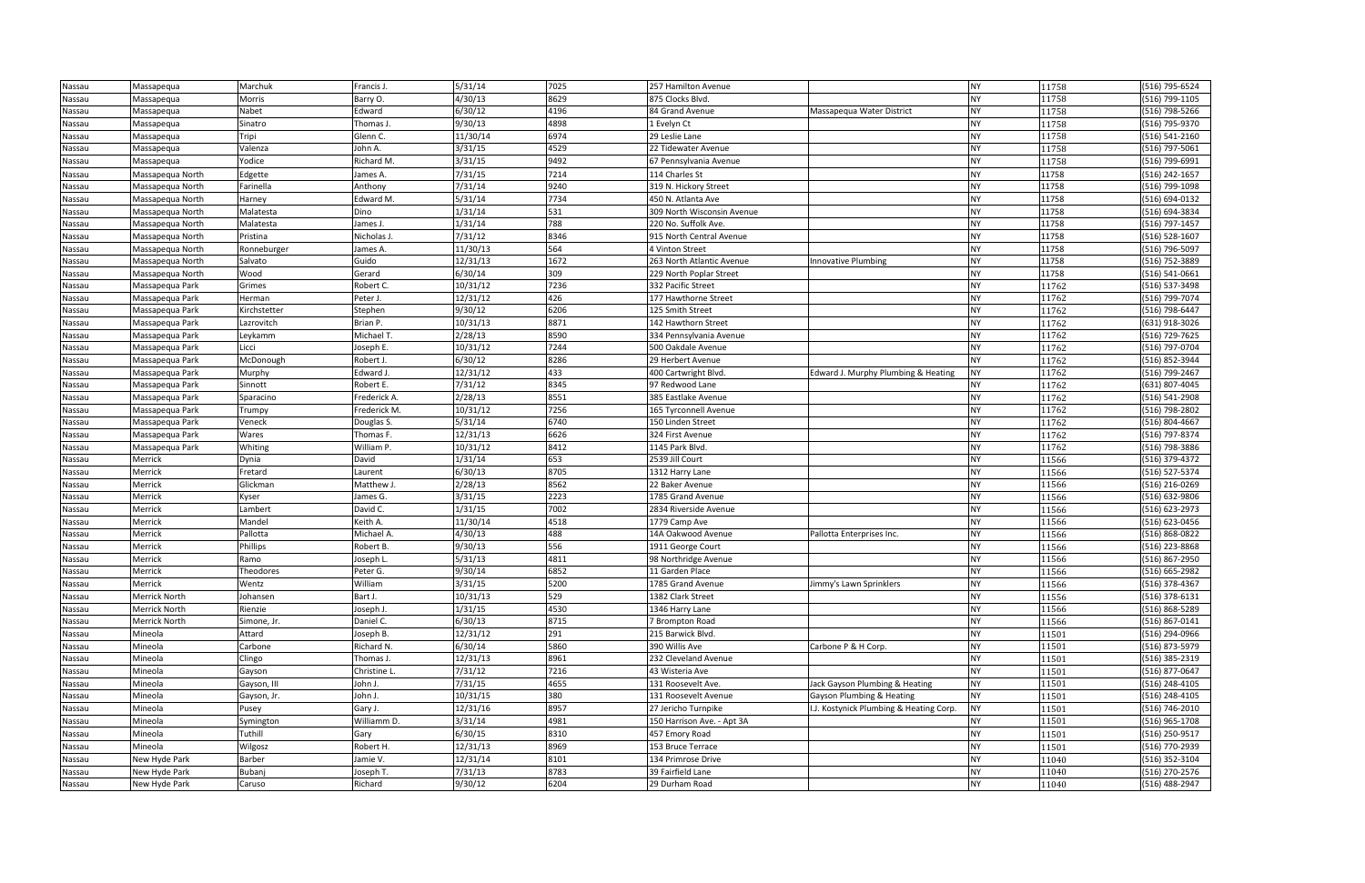| Nassau | Massapequa       | Marchuk      | Francis J.   | 5/31/14  | 7025 | 257 Hamilton Avenue        |                                         | <b>NY</b> | 11758 | (516) 795-6524     |
|--------|------------------|--------------|--------------|----------|------|----------------------------|-----------------------------------------|-----------|-------|--------------------|
| Nassau | Massapequa       | Morris       | Barry O.     | 4/30/13  | 8629 | 875 Clocks Blvd.           |                                         | <b>NY</b> | 11758 | (516) 799-1105     |
| Nassau | Massapequa       | Nabet        | Edward       | 6/30/12  | 4196 | 84 Grand Avenue            | Massapequa Water District               | <b>NY</b> | 11758 | (516) 798-5266     |
| Nassau | Massapequa       | Sinatro      | Thomas J.    | 9/30/13  | 4898 | 1 Evelyn Ct                |                                         | <b>NY</b> | 11758 | (516) 795-9370     |
| Nassau | Massapequa       | Tripi        | Glenn C.     | 11/30/14 | 6974 | 29 Leslie Lane             |                                         | <b>NY</b> | 11758 | (516) 541-2160     |
| Nassau | Massapequa       | Valenza      | John A.      | 3/31/15  | 4529 | 22 Tidewater Avenue        |                                         | <b>NY</b> | 11758 | (516) 797-5061     |
| Nassau | Massapequa       | Yodice       | Richard M.   | 3/31/15  | 9492 | 67 Pennsylvania Avenue     |                                         | <b>NY</b> | 11758 | (516) 799-6991     |
| Nassau | Massapequa North | Edgette      | James A.     | 7/31/15  | 7214 | 114 Charles St             |                                         | <b>NY</b> | 11758 | (516) 242-1657     |
| Nassau | Massapequa North | Farinella    | Anthony      | 7/31/14  | 9240 | 319 N. Hickory Street      |                                         | <b>NY</b> | 11758 | (516) 799-1098     |
| Nassau | Massapequa North | Harney       | Edward M.    | 5/31/14  | 7734 | 450 N. Atlanta Ave         |                                         | <b>NY</b> | 11758 | (516) 694-0132     |
| Nassau | Massapequa North | Malatesta    | Dino         | 1/31/14  | 531  | 309 North Wisconsin Avenue |                                         | <b>NY</b> | 11758 | (516) 694-3834     |
| Nassau | Massapequa North | Malatesta    | James J.     | 1/31/14  | 788  | 220 No. Suffolk Ave.       |                                         | <b>NY</b> | 11758 | (516) 797-1457     |
| Nassau | Massapequa North | Pristina     | Nicholas J.  | 7/31/12  | 8346 | 915 North Central Avenue   |                                         | <b>NY</b> | 11758 | (516) 528-1607     |
| Nassau | Massapequa North | Ronneburger  | James A.     | 11/30/13 | 564  | 4 Vinton Street            |                                         | <b>NY</b> | 11758 | (516) 796-5097     |
| Nassau | Massapequa North | Salvato      | Guido        | 12/31/13 | 1672 | 263 North Atlantic Avenue  | Innovative Plumbing                     | <b>NY</b> | 11758 | (516) 752-3889     |
| Nassau | Massapequa North | Wood         | Gerard       | 6/30/14  | 309  | 229 North Poplar Street    |                                         | <b>NY</b> | 11758 | (516) 541-0661     |
| Nassau | Massapequa Park  | Grimes       | Robert C.    | 10/31/12 | 7236 | 332 Pacific Street         |                                         | <b>NY</b> | 11762 | (516) 537-3498     |
| Nassau | Massapequa Park  | Herman       | Peter J.     | 12/31/12 | 426  | 177 Hawthorne Street       |                                         | <b>NY</b> | 11762 | (516) 799-7074     |
| Nassau | Massapequa Park  | Kirchstetter | Stephen      | 9/30/12  | 6206 | 125 Smith Street           |                                         | <b>NY</b> | 11762 | (516) 798-6447     |
| Nassau | Massapequa Park  | Lazrovitch   | Brian P.     | 10/31/13 | 8871 | 142 Hawthorn Street        |                                         | <b>NY</b> | 11762 | (631) 918-3026     |
| Nassau | Massapequa Park  | Leykamm      | Michael T.   | 2/28/13  | 8590 | 334 Pennsylvania Avenue    |                                         | <b>NY</b> | 11762 | (516) 729-7625     |
| Nassau | Massapequa Park  | Licci        | Joseph E.    | 10/31/12 | 7244 | 500 Oakdale Avenue         |                                         | <b>NY</b> | 11762 | (516) 797-0704     |
| Nassau | Massapequa Park  | McDonough    | Robert J.    | 6/30/12  | 8286 | 29 Herbert Avenue          |                                         | <b>NY</b> | 11762 | (516) 852-3944     |
| Nassau | Massapequa Park  | Murphy       | Edward J.    | 12/31/12 | 433  | 400 Cartwright Blvd.       | Edward J. Murphy Plumbing & Heating     | <b>NY</b> | 11762 | (516) 799-2467     |
| Nassau | Massapequa Park  | Sinnott      | Robert E.    | 7/31/12  | 8345 | 97 Redwood Lane            |                                         | <b>NY</b> | 11762 | (631) 807-4045     |
| Nassau | Massapequa Park  | Sparacino    | Frederick A. | 2/28/13  | 8551 | 385 Eastlake Avenue        |                                         | <b>NY</b> | 11762 | (516) 541-2908     |
| Nassau | Massapequa Park  | Trumpy       | Frederick M. | 10/31/12 | 7256 | 165 Tyrconnell Avenue      |                                         | <b>NY</b> | 11762 | (516) 798-2802     |
| Nassau | Massapequa Park  | Veneck       | Douglas S.   | 5/31/14  | 6740 | 150 Linden Street          |                                         | <b>NY</b> | 11762 | (516) 804-4667     |
| Nassau | Massapequa Park  | Wares        | Thomas F.    | 12/31/13 | 6626 | 324 First Avenue           |                                         | <b>NY</b> | 11762 | (516) 797-8374     |
| Nassau | Massapequa Park  | Whiting      | William P.   | 10/31/12 | 8412 | 1145 Park Blvd.            |                                         | <b>NY</b> | 11762 | (516) 798-3886     |
| Nassau | Merrick          | Dynia        | David        | 1/31/14  | 653  | 2539 Jill Court            |                                         | <b>NY</b> | 11566 | (516) 379-4372     |
| Nassau | Merrick          | Fretard      | Laurent      | 6/30/13  | 8705 | 1312 Harry Lane            |                                         | <b>NY</b> | 11566 | (516) 527-5374     |
| Nassau | Merrick          | Glickman     | Matthew J.   | 2/28/13  | 8562 | 22 Baker Avenue            |                                         | <b>NY</b> | 11566 | (516) 216-0269     |
| Nassau | Merrick          | Kyser        | James G.     | 3/31/15  | 2223 | 1785 Grand Avenue          |                                         | <b>NY</b> | 11566 | (516) 632-9806     |
| Nassau | Merrick          | Lambert      | David C.     | 1/31/15  | 7002 | 2834 Riverside Avenue      |                                         | <b>NY</b> | 11566 | $(516) 623 - 2973$ |
| Nassau | Merrick          | Mandel       | Keith A.     | 11/30/14 | 4518 | 1779 Camp Ave              |                                         | <b>NY</b> | 11566 | (516) 623-0456     |
| Nassau | Merrick          | Pallotta     | Michael A.   | 4/30/13  | 488  | 14A Oakwood Avenue         | Pallotta Enterprises Inc.               | <b>NY</b> | 11566 | (516) 868-0822     |
| Nassau | Merrick          | Phillips     | Robert B.    | 9/30/13  | 556  | 1911 George Court          |                                         | <b>NY</b> | 11566 | (516) 223-8868     |
| Nassau | Merrick          | Ramo         | Joseph L.    | 5/31/13  | 4811 | 98 Northridge Avenue       |                                         | <b>NY</b> | 11566 | (516) 867-2950     |
| Nassau | Merrick          | Theodores    | Peter G.     | 9/30/14  | 6852 | 11 Garden Place            |                                         | <b>NY</b> | 11566 | (516) 665-2982     |
| Nassau | Merrick          | Wentz        | William      | 3/31/15  | 5200 | 1785 Grand Avenue          | Jimmy's Lawn Sprinklers                 | <b>NY</b> | 11566 | (516) 378-4367     |
| Nassau | Merrick North    | Johansen     | Bart J.      | 10/31/13 | 529  | 1382 Clark Street          |                                         | <b>NY</b> | 11556 | (516) 378-6131     |
| Nassau | Merrick North    | Rienzie      | Joseph J.    | 1/31/15  | 4530 | 1346 Harry Lane            |                                         | <b>NY</b> | 11566 | (516) 868-5289     |
| Nassau | Merrick North    | Simone, Jr.  | Daniel C.    | 6/30/13  | 8715 | 7 Brompton Road            |                                         | <b>NY</b> | 11566 | (516) 867-0141     |
| Nassau | Mineola          | Attard       | Joseph B.    | 12/31/12 | 291  | 215 Barwick Blvd.          |                                         | <b>NY</b> | 11501 | (516) 294-0966     |
| Nassau | Mineola          | Carbone      | Richard N.   | 6/30/14  | 5860 | 390 Willis Ave             | Carbone P & H Corp.                     | <b>NY</b> | 11501 | (516) 873-5979     |
| Nassau | Mineola          | Clingo       | Thomas J.    | 12/31/13 | 8961 | 232 Cleveland Avenue       |                                         | <b>NY</b> | 11501 | (516) 385-2319     |
| Nassau | Mineola          | Gayson       | Christine L. | 7/31/12  | 7216 | 43 Wisteria Ave            |                                         | <b>NY</b> | 11501 | (516) 877-0647     |
| Nassau | Mineola          | Gayson, III  | John J.      | 7/31/15  | 4655 | 131 Roosevelt Ave.         | Jack Gayson Plumbing & Heating          | <b>NY</b> | 11501 | (516) 248-4105     |
| Nassau | Mineola          | Gayson, Jr.  | John J.      | 10/31/15 | 380  | 131 Roosevelt Avenue       | Gayson Plumbing & Heating               | <b>NY</b> | 11501 | (516) 248-4105     |
| Nassau | Mineola          | Pusey        | Gary J.      | 12/31/16 | 8957 | 27 Jericho Turnpike        | I.J. Kostynick Plumbing & Heating Corp. | <b>NY</b> | 11501 | (516) 746-2010     |
| Nassau | Mineola          | Symington    | Williamm D.  | 3/31/14  | 4981 | 150 Harrison Ave. - Apt 3A |                                         | <b>NY</b> | 11501 | (516) 965-1708     |
| Nassau | Mineola          | Tuthill      | Gary         | 6/30/15  | 8310 | 457 Emory Road             |                                         | <b>NY</b> | 11501 | (516) 250-9517     |
| Nassau | Mineola          | Wilgosz      | Robert H.    | 12/31/13 | 8969 | 153 Bruce Terrace          |                                         | <b>NY</b> | 11501 | (516) 770-2939     |
| Nassau | New Hyde Park    | Barber       | Jamie V.     | 12/31/14 | 8101 | 134 Primrose Drive         |                                         | <b>NY</b> | 11040 | (516) 352-3104     |
| Nassau | New Hyde Park    | Bubanj       | Joseph T.    | 7/31/13  | 8783 | 39 Fairfield Lane          |                                         | <b>NY</b> | 11040 | (516) 270-2576     |
| Nassau | New Hyde Park    | Caruso       | Richard      | 9/30/12  | 6204 | 29 Durham Road             |                                         | <b>NY</b> | 11040 | (516) 488-2947     |

| 11758          | (516) 795-6524                   |
|----------------|----------------------------------|
| 11758          | (516) 799-1105                   |
| 11758          | (516) 798-5266                   |
| 11758          | (516) 795-9370                   |
| 11758          | (516) 541-2160                   |
| 11758          | (516) 797-5061                   |
| 11758          | (516) 799-6991                   |
| 11758          | (516) 242-1657                   |
| 11758          | (516) 799-1098                   |
| 11758          | (516) 694-0132                   |
| 11758          | (516) 694-3834                   |
| 11758          | (516) 797-1457                   |
| 11758          | (516) 528-1607                   |
| 11758          | (516) 796-5097                   |
| 11758          | (516) 752-3889                   |
| 11758          | (516) 541-0661                   |
| 11762          | (516) 537-3498                   |
| 11762          | (516) 799-7074                   |
| 11762          | (516) 798-6447                   |
| 11762          | (631) 918-3026                   |
| 11762          | (516) 729-7625                   |
| 11762          | (516) 797-0704                   |
| 11762          | (516) 852-3944                   |
| 11762          | (516) 799-2467                   |
| 11762          | (631) 807-4045                   |
| 11762          | (516) 541-2908                   |
| 11762          | (516) 798-2802                   |
| 11762          | (516) 804-4667                   |
| 11762          | (516) 797-8374                   |
| 11762          | (516) 798-3886                   |
| 11566          | (516) 379-4372<br>(516) 527-5374 |
| 11566          | (516) 216-0269                   |
| 11566<br>11566 | (516) 632-9806                   |
| 11566          | (516) 623-2973                   |
| 11566          | (516) 623-0456                   |
| 11566          | (516) 868-0822                   |
| 11566          | (516) 223-8868                   |
| 11566          | (516) 867-2950                   |
| 11566          | (516) 665-2982                   |
| 11566          | (516) 378-4367                   |
| 11556          | (516) 378-6131                   |
| 11566          | (516) 868-5289                   |
| 11566          | (516) 867-0141                   |
| 11501          | (516) 294-0966                   |
| 11501          | (516) 873-5979                   |
| 11501          | (516) 385-2319                   |
| 11501          | (516) 877-0647                   |
| 11501          | (516) 248-4105                   |
| 11501          | (516) 248-4105                   |
| 11501          | (516) 746-2010                   |
| 11501          | (516) 965-1708                   |
| 11501          | (516) 250-9517                   |
| 11501          | (516) 770-2939                   |
| 11040          | (516) 352-3104                   |
| 11040          | (516) 270-2576                   |
| 11040          | (516) 488-2947                   |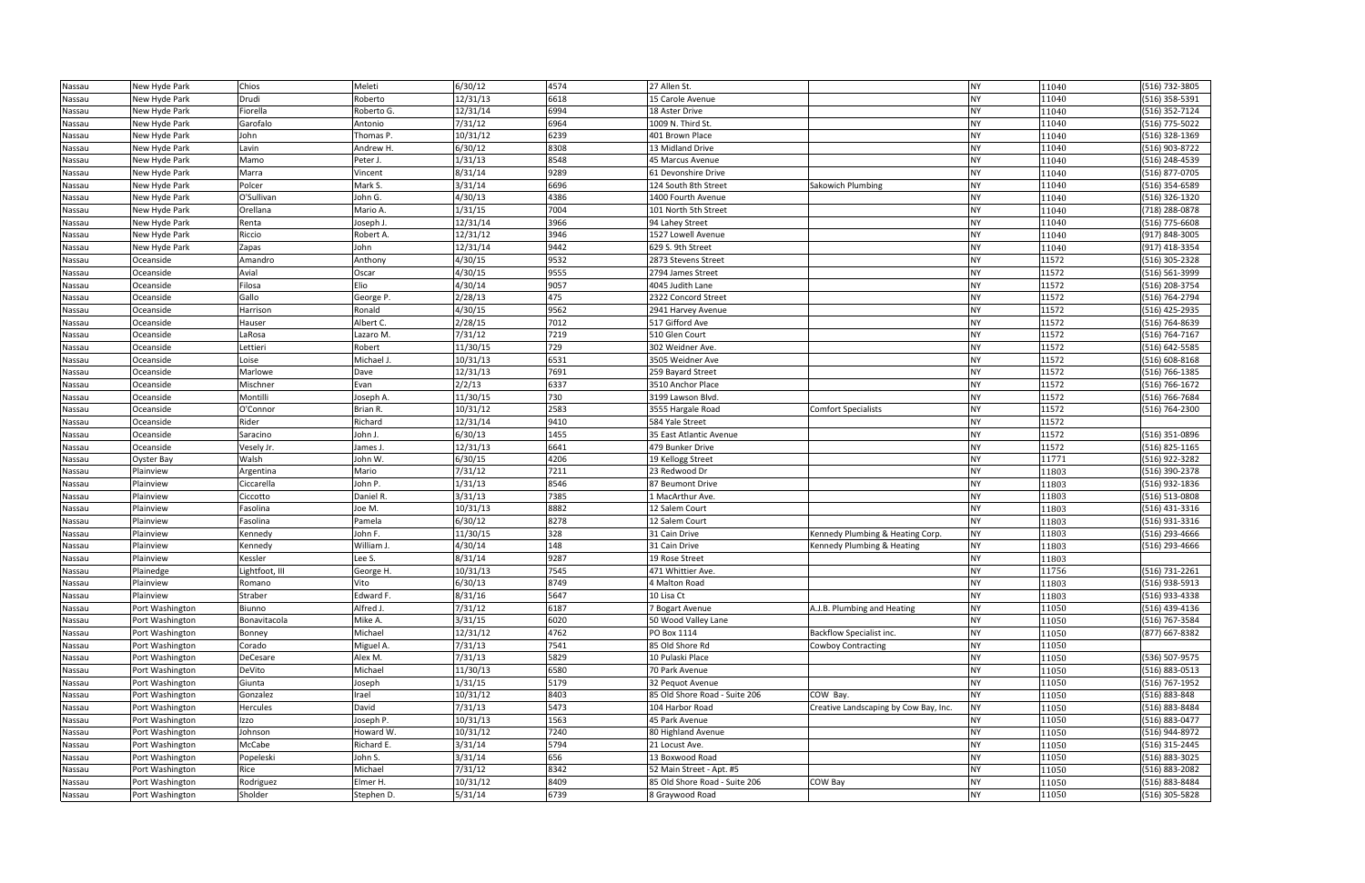| Nassau           | New Hyde Park   | Chios               | Meleti              | 6/30/12  | 4574 | 27 Allen St.                  |                                       | <b>NY</b> | 11040 | (516) 732-3805                     |
|------------------|-----------------|---------------------|---------------------|----------|------|-------------------------------|---------------------------------------|-----------|-------|------------------------------------|
| Nassau           | New Hyde Park   | Drudi               | Roberto             | 12/31/13 | 6618 | 15 Carole Avenue              |                                       | <b>NY</b> | 11040 | (516) 358-5391                     |
| Nassau           | New Hyde Park   | Fiorella            | Roberto G.          | 12/31/14 | 6994 | 18 Aster Drive                |                                       | <b>NY</b> | 11040 | (516) 352-7124                     |
| Nassau           | New Hyde Park   | Garofalo            | Antonio             | 7/31/12  | 6964 | 1009 N. Third St.             |                                       | <b>NY</b> | 11040 | (516) 775-5022                     |
| Nassau           | New Hyde Park   | John                | Thomas P.           | 10/31/12 | 6239 | 401 Brown Place               |                                       | <b>NY</b> | 11040 | (516) 328-1369                     |
| Nassau           | New Hyde Park   | Lavin               | Andrew H.           | 6/30/12  | 8308 | 13 Midland Drive              |                                       | <b>NY</b> | 11040 | (516) 903-8722                     |
| Nassau           | New Hyde Park   | Mamo                | Peter J.            | 1/31/13  | 8548 | 45 Marcus Avenue              |                                       | <b>NY</b> | 11040 | (516) 248-4539                     |
| Nassau           | New Hyde Park   | Marra               | Vincent             | 8/31/14  | 9289 | 61 Devonshire Drive           |                                       | <b>NY</b> | 11040 | (516) 877-0705                     |
| Nassau           | New Hyde Park   | Polcer              | Mark S.             | 3/31/14  | 6696 | 124 South 8th Street          | <b>Sakowich Plumbing</b>              | <b>NY</b> | 11040 | (516) 354-6589                     |
| Nassau           | New Hyde Park   | O'Sullivan          | John G.             | 4/30/13  | 4386 | 1400 Fourth Avenue            |                                       | <b>NY</b> | 11040 | (516) 326-1320                     |
|                  |                 |                     | Mario A.            | 1/31/15  | 7004 | 101 North 5th Street          |                                       | <b>NY</b> |       |                                    |
| Nassau           | New Hyde Park   | Orellana            |                     |          |      |                               |                                       |           | 11040 | (718) 288-0878                     |
| Nassau           | New Hyde Park   | Renta               | Joseph J.           | 12/31/14 | 3966 | 94 Lahey Street               |                                       | <b>NY</b> | 11040 | (516) 775-6608                     |
| Nassau           | New Hyde Park   | Riccio              | Robert A.           | 12/31/12 | 3946 | 1527 Lowell Avenue            |                                       | <b>NY</b> | 11040 | (917) 848-3005                     |
| Nassau           | New Hyde Park   | Zapas               | John                | 12/31/14 | 9442 | 629 S. 9th Street             |                                       | <b>NY</b> | 11040 | (917) 418-3354                     |
| Nassau           | Oceanside       | Amandro             | Anthony             | 4/30/15  | 9532 | 2873 Stevens Street           |                                       | <b>NY</b> | 11572 | (516) 305-2328                     |
| Nassau           | Oceanside       | Avial               | Oscar               | 4/30/15  | 9555 | 2794 James Street             |                                       | <b>NY</b> | 11572 | (516) 561-3999                     |
| Nassau           | Oceanside       | Filosa              | Elio                | 4/30/14  | 9057 | 4045 Judith Lane              |                                       | <b>NY</b> | 11572 | (516) 208-3754                     |
| Nassau           | Oceanside       | Gallo               | George P.           | 2/28/13  | 475  | 2322 Concord Street           |                                       | <b>NY</b> | 11572 | (516) 764-2794                     |
| Nassau           | Oceanside       | Harrison            | Ronald              | 4/30/15  | 9562 | 2941 Harvey Avenue            |                                       | <b>NY</b> | 11572 | (516) 425-2935                     |
| Nassau           | Oceanside       | Hauser              | Albert C.           | 2/28/15  | 7012 | 517 Gifford Ave               |                                       | <b>NY</b> | 11572 | (516) 764-8639                     |
| Nassau           | Oceanside       | LaRosa              | Lazaro M.           | 7/31/12  | 7219 | 510 Glen Court                |                                       | <b>NY</b> | 11572 | (516) 764-7167                     |
| Nassau           | Oceanside       | Lettieri            | Robert              | 11/30/15 | 729  | 302 Weidner Ave.              |                                       | <b>NY</b> | 11572 | (516) 642-5585                     |
| Nassau           | Oceanside       | Loise               | Michael J.          | 10/31/13 | 6531 | 3505 Weidner Ave              |                                       | <b>NY</b> | 11572 | (516) 608-8168                     |
| Nassau           | Oceanside       | Marlowe             | Dave                | 12/31/13 | 7691 | 259 Bayard Street             |                                       | <b>NY</b> | 11572 | (516) 766-1385                     |
| Nassau           | Oceanside       | Mischner            | Evan                | 2/2/13   | 6337 | 3510 Anchor Place             |                                       | <b>NY</b> | 11572 | (516) 766-1672                     |
| Nassau           | Oceanside       | Montilli            | Joseph A.           | 11/30/15 | 730  | 3199 Lawson Blvd.             |                                       | <b>NY</b> | 11572 | (516) 766-7684                     |
| Nassau           | Oceanside       | O'Connor            | Brian R.            | 10/31/12 | 2583 | 3555 Hargale Road             | <b>Comfort Specialists</b>            | <b>NY</b> | 11572 | (516) 764-2300                     |
| Nassau           | Oceanside       | Rider               | Richard             | 12/31/14 | 9410 | 584 Yale Street               |                                       | <b>NY</b> | 11572 |                                    |
| Nassau           | Oceanside       | Saracino            | John J.             | 6/30/13  | 1455 | 35 East Atlantic Avenue       |                                       | <b>NY</b> | 11572 | (516) 351-0896                     |
|                  | Oceanside       |                     |                     | 12/31/13 | 6641 | 479 Bunker Drive              |                                       | <b>NY</b> | 11572 |                                    |
| Nassau<br>Nassau | Oyster Bay      | Vesely Jr.<br>Walsh | lames J.<br>John W. | 6/30/15  | 4206 | 19 Kellogg Street             |                                       | <b>NY</b> | 11771 | (516) 825-1165<br>$(516)$ 922-3282 |
|                  | Plainview       |                     | Mario               | 7/31/12  | 7211 | 23 Redwood Dr                 |                                       | <b>NY</b> |       |                                    |
| Nassau           |                 | Argentina           |                     |          |      |                               |                                       |           | 11803 | (516) 390-2378                     |
| Nassau           | Plainview       | Ciccarella          | John P.             | 1/31/13  | 8546 | 87 Beumont Drive              |                                       | <b>NY</b> | 11803 | (516) 932-1836                     |
| Nassau           | Plainview       | Ciccotto            | Daniel R.           | 3/31/13  | 7385 | 1 MacArthur Ave.              |                                       | <b>NY</b> | 11803 | (516) 513-0808                     |
| Nassau           | Plainview       | Fasolina            | Joe M.              | 10/31/13 | 8882 | 12 Salem Court                |                                       | <b>NY</b> | 11803 | (516) 431-3316                     |
| Nassau           | Plainview       | Fasolina            | Pamela              | 6/30/12  | 8278 | 12 Salem Court                |                                       | <b>NY</b> | 11803 | (516) 931-3316                     |
| Nassau           | Plainview       | Kennedy             | John F.             | 11/30/15 | 328  | 31 Cain Drive                 | Kennedy Plumbing & Heating Corp.      | <b>NY</b> | 11803 | (516) 293-4666                     |
| Nassau           | Plainview       | Kennedy             | William J.          | 4/30/14  | 148  | 31 Cain Drive                 | Kennedy Plumbing & Heating            | <b>NY</b> | 11803 | (516) 293-4666                     |
| Nassau           | Plainview       | Kessler             | Lee S.              | 8/31/14  | 9287 | 19 Rose Street                |                                       | <b>NY</b> | 11803 |                                    |
| Nassau           | Plainedge       | Lightfoot, III      | George H.           | 10/31/13 | 7545 | 471 Whittier Ave.             |                                       | <b>NY</b> | 11756 | (516) 731-2261                     |
| Nassau           | Plainview       | Romano              | Vito                | 6/30/13  | 8749 | 4 Malton Road                 |                                       | <b>NY</b> | 11803 | (516) 938-5913                     |
| Nassau           | Plainview       | Straber             | Edward F.           | 8/31/16  | 5647 | 10 Lisa Ct                    |                                       | <b>NY</b> | 11803 | (516) 933-4338                     |
| Nassau           | Port Washington | Biunno              | Alfred J.           | 7/31/12  | 6187 | 7 Bogart Avenue               | A.J.B. Plumbing and Heating           | <b>NY</b> | 11050 | (516) 439-4136                     |
| Nassau           | Port Washington | Bonavitacola        | Mike A.             | 3/31/15  | 6020 | 50 Wood Valley Lane           |                                       | <b>NY</b> | 11050 | (516) 767-3584                     |
| Nassau           | Port Washington | Bonney              | Michael             | 12/31/12 | 4762 | PO Box 1114                   | <b>Backflow Specialist inc.</b>       | <b>NY</b> | 11050 | (877) 667-8382                     |
| Nassau           | Port Washington | Corado              | Miguel A.           | 7/31/13  | 7541 | 85 Old Shore Rd               | Cowboy Contracting                    | <b>NY</b> | 11050 |                                    |
| Nassau           | Port Washington | DeCesare            | Alex M.             | 7/31/13  | 5829 | 10 Pulaski Place              |                                       | <b>NY</b> | 11050 | (536) 507-9575                     |
| Nassau           | Port Washington | DeVito              | Michael             | 11/30/13 | 6580 | 70 Park Avenue                |                                       | <b>NY</b> | 11050 | (516) 883-0513                     |
| Nassau           | Port Washington | Giunta              | Joseph              | 1/31/15  | 5179 | 32 Pequot Avenue              |                                       | <b>NY</b> | 11050 | (516) 767-1952                     |
| Nassau           | Port Washington | Gonzalez            | Irael               | 10/31/12 | 8403 | 85 Old Shore Road - Suite 206 | COW Bay.                              | <b>NY</b> | 11050 | (516) 883-848                      |
| Nassau           | Port Washington | Hercules            | David               | 7/31/13  | 5473 | 104 Harbor Road               | Creative Landscaping by Cow Bay, Inc. | <b>NY</b> | 11050 | (516) 883-8484                     |
| Nassau           | Port Washington | Izzo                | Joseph P.           | 10/31/13 | 1563 | 45 Park Avenue                |                                       | <b>NY</b> | 11050 | (516) 883-0477                     |
| Nassau           | Port Washington | Johnson             | Howard W.           | 10/31/12 | 7240 | 80 Highland Avenue            |                                       | <b>NY</b> | 11050 | (516) 944-8972                     |
| Nassau           | Port Washington | McCabe              | Richard E.          | 3/31/14  | 5794 | 21 Locust Ave.                |                                       | <b>NY</b> | 11050 | (516) 315-2445                     |
| Nassau           | Port Washington | Popeleski           | John S.             | 3/31/14  | 656  | 13 Boxwood Road               |                                       | <b>NY</b> | 11050 | (516) 883-3025                     |
| Nassau           | Port Washington | Rice                | Michael             | 7/31/12  | 8342 | 52 Main Street - Apt. #5      |                                       | <b>NY</b> | 11050 | (516) 883-2082                     |
| Nassau           | Port Washington | Rodriguez           | Elmer H.            | 10/31/12 | 8409 | 85 Old Shore Road - Suite 206 | COW Bay                               | <b>NY</b> | 11050 | (516) 883-8484                     |
| Nassau           |                 | Sholder             |                     | 5/31/14  | 6739 |                               |                                       | <b>NY</b> | 11050 |                                    |
|                  | Port Washington |                     | Stephen D.          |          |      | 8 Graywood Road               |                                       |           |       | (516) 305-5828                     |

| 11040 | (516) 732-3805     |
|-------|--------------------|
| 11040 | (516) 358-5391     |
| 11040 | (516) 352-7124     |
| 11040 | (516) 775-5022     |
| 11040 | (516) 328-1369     |
| 11040 | (516) 903-8722     |
| 11040 | (516) 248-4539     |
| 11040 | (516) 877-0705     |
| 11040 | (516) 354-6589     |
| 11040 | (516) 326-1320     |
| 11040 | (718) 288-0878     |
| 11040 | (516) 775-6608     |
| 11040 | (917) 848-3005     |
| 11040 | (917) 418-3354     |
| 11572 | (516) 305-2328     |
| 11572 | (516) 561-3999     |
| 11572 | (516) 208-3754     |
| 11572 | (516) 764-2794     |
| 11572 | (516) 425-2935     |
| 11572 | (516) 764-8639     |
| 11572 | (516) 764-7167     |
| 11572 | (516) 642-5585     |
| 11572 | $(516) 608 - 8168$ |
| 11572 | (516) 766-1385     |
| 11572 | (516) 766-1672     |
| 11572 | (516) 766-7684     |
| 11572 | (516) 764-2300     |
| 11572 |                    |
| 11572 | (516) 351-0896     |
| 11572 | (516) 825-1165     |
| 11771 | (516) 922-3282     |
| 11803 | (516) 390-2378     |
| 11803 | $(516)$ 932-1836   |
| 11803 | (516) 513-0808     |
| 11803 | (516) 431-3316     |
| 11803 | (516) 931-3316     |
| 11803 | (516) 293-4666     |
| 11803 | (516) 293-4666     |
| 11803 |                    |
| 11756 | (516) 731-2261     |
| 11803 | (516) 938-5913     |
| 11803 | (516) 933-4338     |
| 11050 | (516) 439-4136     |
| 11050 | (516) 767-3584     |
| 11050 | (877) 667-8382     |
| 11050 |                    |
| 11050 | (536) 507-9575     |
| 11050 | (516) 883-0513     |
| 11050 | (516) 767-1952     |
| 11050 | (516) 883-848      |
| 11050 | (516) 883-8484     |
| 11050 | (516) 883-0477     |
| 11050 | (516) 944-8972     |
| 11050 | (516) 315-2445     |
| 11050 | (516) 883-3025     |
| 11050 | (516) 883-2082     |
| 11050 | (516) 883-8484     |
| 11050 | (516) 305-5828     |
|       |                    |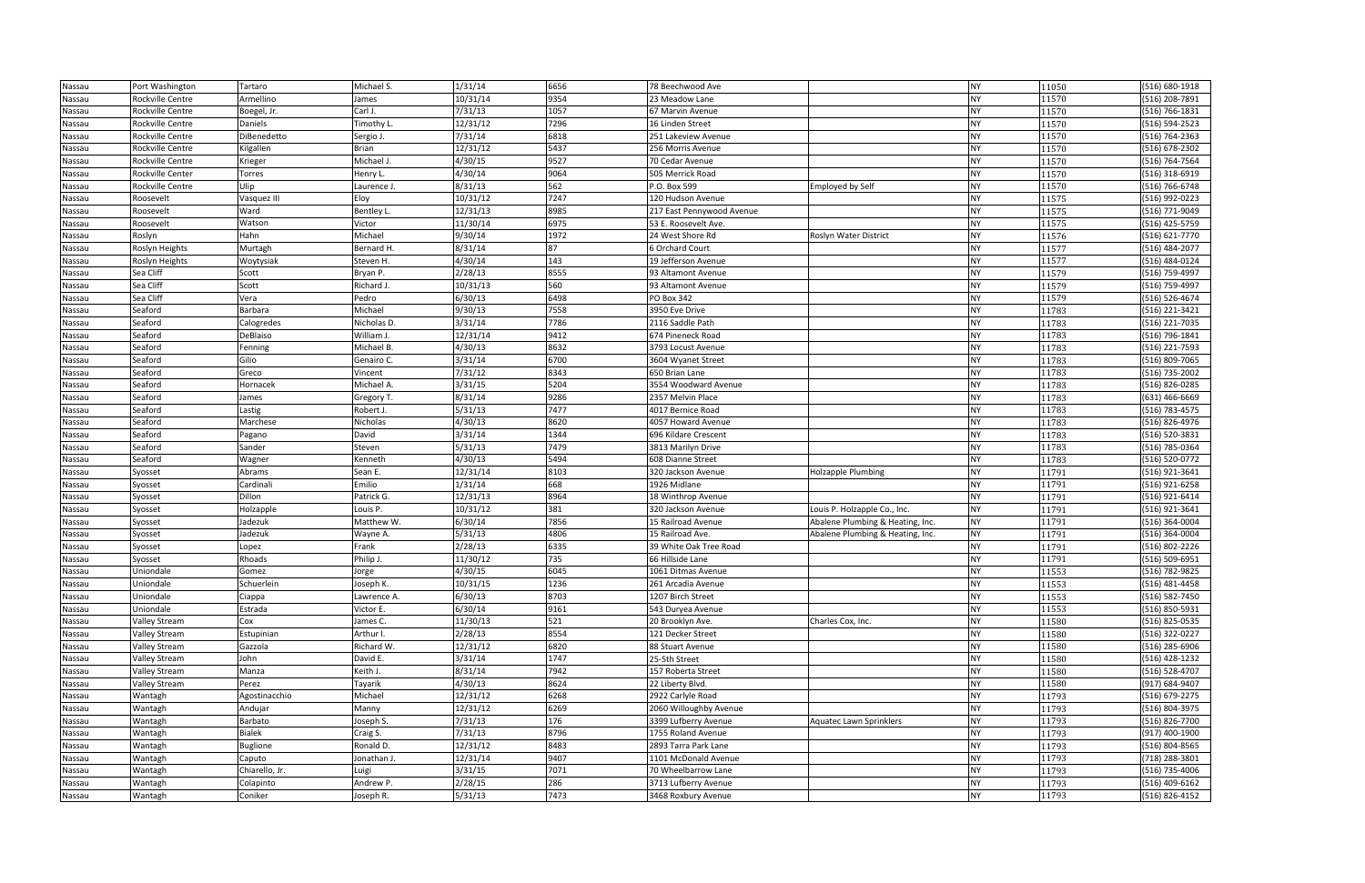| Nassau | Port Washington      | Tartaro         | Michael S.  | 1/31/14  | 6656 | 78 Beechwood Ave          |                                  | <b>NY</b> | 11050 | (516) 680-1918   |
|--------|----------------------|-----------------|-------------|----------|------|---------------------------|----------------------------------|-----------|-------|------------------|
| Nassau | Rockville Centre     | Armellino       | James       | 10/31/14 | 9354 | 23 Meadow Lane            |                                  | <b>NY</b> | 11570 | (516) 208-7891   |
| Nassau | Rockville Centre     | Boegel, Jr.     | Carl J.     | 7/31/13  | 1057 | 67 Marvin Avenue          |                                  | <b>NY</b> | 11570 | (516) 766-1831   |
| Nassau | Rockville Centre     | Daniels         | Timothy L.  | 12/31/12 | 7296 | 16 Linden Street          |                                  | <b>NY</b> | 11570 | (516) 594-2523   |
| Nassau | Rockville Centre     | DiBenedetto     | Sergio J.   | 7/31/14  | 6818 | 251 Lakeview Avenue       |                                  | <b>NY</b> | 11570 | (516) 764-2363   |
| Nassau | Rockville Centre     | Kilgallen       | Brian       | 12/31/12 | 5437 | 256 Morris Avenue         |                                  | <b>NY</b> | 11570 | (516) 678-2302   |
| Nassau | Rockville Centre     | Krieger         | Michael J.  | 4/30/15  | 9527 | 70 Cedar Avenue           |                                  | <b>NY</b> | 11570 | (516) 764-7564   |
| Nassau | Rockville Center     | Torres          | Henry L.    | 4/30/14  | 9064 | 505 Merrick Road          |                                  | <b>NY</b> | 11570 | (516) 318-6919   |
| Nassau | Rockville Centre     | Ulip            | Laurence J. | 8/31/13  | 562  | P.O. Box 599              | <b>Employed by Self</b>          | <b>NY</b> | 11570 | (516) 766-6748   |
| Nassau | Roosevelt            | Vasquez III     | Eloy        | 10/31/12 | 7247 | 120 Hudson Avenue         |                                  | <b>NY</b> | 11575 | (516) 992-0223   |
| Nassau | Roosevelt            | Ward            | Bentley L.  | 12/31/13 | 8985 | 217 East Pennywood Avenue |                                  | <b>NY</b> | 11575 | $(516) 771-9049$ |
| Nassau | Roosevelt            | Watson          | Victor      | 11/30/14 | 6975 | 53 E. Roosevelt Ave.      |                                  | <b>NY</b> | 11575 | (516) 425-5759   |
| Nassau | Roslyn               | Hahn            | Michael     | 9/30/14  | 1972 | 24 West Shore Rd          | Roslyn Water District            | <b>NY</b> | 11576 | (516) 621-7770   |
| Nassau | Roslyn Heights       | Murtagh         | Bernard H.  | 8/31/14  | 87   | 6 Orchard Court           |                                  | <b>NY</b> | 11577 | (516) 484-2077   |
| Nassau | Roslyn Heights       | Woytysiak       | Steven H.   | 4/30/14  | 143  | 19 Jefferson Avenue       |                                  | <b>NY</b> | 11577 | (516) 484-0124   |
| Nassau | Sea Cliff            | Scott           | Bryan P.    | 2/28/13  | 8555 | 93 Altamont Avenue        |                                  | <b>NY</b> | 11579 | (516) 759-4997   |
| Nassau | Sea Cliff            | Scott           | Richard J.  | 10/31/13 | 560  | 93 Altamont Avenue        |                                  | <b>NY</b> | 11579 | (516) 759-4997   |
| Nassau | Sea Cliff            | Vera            | Pedro       | 6/30/13  | 6498 | PO Box 342                |                                  | <b>NY</b> | 11579 | (516) 526-4674   |
| Nassau | Seaford              | Barbara         | Michael     | 9/30/13  | 7558 | 3950 Eve Drive            |                                  | <b>NY</b> | 11783 | (516) 221-3421   |
| Nassau | Seaford              | Calogredes      | Nicholas D. | 3/31/14  | 7786 | 2116 Saddle Path          |                                  | <b>NY</b> | 11783 | (516) 221-7035   |
| Nassau | Seaford              | DeBlaiso        | William J.  | 12/31/14 | 9412 | 674 Pineneck Road         |                                  | <b>NY</b> | 11783 | (516) 796-1841   |
| Nassau | Seaford              | Fenning         | Michael B.  | 4/30/13  | 8632 | 3793 Locust Avenue        |                                  | <b>NY</b> | 11783 | (516) 221-7593   |
| Nassau | Seaford              | Gilio           | Genairo C.  | 3/31/14  | 6700 | 3604 Wyanet Street        |                                  | <b>NY</b> | 11783 | (516) 809-7065   |
| Nassau | Seaford              | Greco           | Vincent     | 7/31/12  | 8343 | 650 Brian Lane            |                                  | <b>NY</b> | 11783 | (516) 735-2002   |
| Nassau | Seaford              | Hornacek        | Michael A.  | 3/31/15  | 5204 | 3554 Woodward Avenue      |                                  | <b>NY</b> | 11783 | (516) 826-0285   |
| Nassau | Seaford              | James           | Gregory T.  | 8/31/14  | 9286 | 2357 Melvin Place         |                                  | <b>NY</b> | 11783 | (631) 466-6669   |
| Nassau | Seaford              | Lastig          | Robert J.   | 5/31/13  | 7477 | 4017 Bernice Road         |                                  | <b>NY</b> | 11783 | (516) 783-4575   |
| Nassau | Seaford              | Marchese        | Nicholas    | 4/30/13  | 8620 | 4057 Howard Avenue        |                                  | <b>NY</b> | 11783 | (516) 826-4976   |
| Nassau | Seaford              | Pagano          | David       | 3/31/14  | 1344 | 696 Kildare Crescent      |                                  | <b>NY</b> | 11783 | (516) 520-3831   |
| Nassau | Seaford              | Sander          | Steven      | 5/31/13  | 7479 | 3813 Marilyn Drive        |                                  | <b>NY</b> | 11783 | (516) 785-0364   |
| Nassau | Seaford              | Wagner          | Kenneth     | 4/30/13  | 5494 | 608 Dianne Street         |                                  | <b>NY</b> | 11783 | (516) 520-0772   |
| Nassau | Syosset              | Abrams          | Sean E.     | 12/31/14 | 8103 | 320 Jackson Avenue        | Holzapple Plumbing               | <b>NY</b> | 11791 | (516) 921-3641   |
| Nassau | Syosset              | Cardinali       | Emilio      | 1/31/14  | 668  | 1926 Midlane              |                                  | <b>NY</b> | 11791 | (516) 921-6258   |
| Nassau | Syosset              | Dillon          | Patrick G.  | 12/31/13 | 8964 | 18 Winthrop Avenue        |                                  | <b>NY</b> | 11791 | (516) 921-6414   |
| Nassau | Syosset              | Holzapple       | Louis P.    | 10/31/12 | 381  | 320 Jackson Avenue        | Louis P. Holzapple Co., Inc.     | <b>NY</b> | 11791 | (516) 921-3641   |
| Nassau | Syosset              | Jadezuk         | Matthew W.  | 6/30/14  | 7856 | 15 Railroad Avenue        | Abalene Plumbing & Heating, Inc. | <b>NY</b> | 11791 | (516) 364-0004   |
| Nassau | Syosset              | Jadezuk         | Wayne A.    | 5/31/13  | 4806 | 15 Railroad Ave.          | Abalene Plumbing & Heating, Inc. | <b>NY</b> | 11791 | (516) 364-0004   |
| Nassau | Syosset              | Lopez           | Frank       | 2/28/13  | 6335 | 39 White Oak Tree Road    |                                  | <b>NY</b> | 11791 | (516) 802-2226   |
| Nassau | Syosset              | Rhoads          | Philip J.   | 11/30/12 | 735  | 66 Hillside Lane          |                                  | <b>NY</b> | 11791 | (516) 509-6951   |
| Nassau | Uniondale            | Gomez           | Jorge       | 4/30/15  | 6045 | 1061 Ditmas Avenue        |                                  | <b>NY</b> | 11553 | (516) 782-9825   |
| Nassau | Uniondale            | Schuerlein      | Joseph K.   | 10/31/15 | 1236 | 261 Arcadia Avenue        |                                  | <b>NY</b> | 11553 | (516) 481-4458   |
| Nassau | Uniondale            | Ciappa          | Lawrence A. | 6/30/13  | 8703 | 1207 Birch Street         |                                  | <b>NY</b> | 11553 | (516) 582-7450   |
| Nassau | Uniondale            | Estrada         | Victor E.   | 6/30/14  | 9161 | 543 Duryea Avenue         |                                  | <b>NY</b> | 11553 | (516) 850-5931   |
| Nassau | Valley Stream        | Cox             | James C.    | 11/30/13 | 521  | 20 Brooklyn Ave.          | Charles Cox, Inc.                | <b>NY</b> | 11580 | (516) 825-0535   |
| Nassau | <b>Valley Stream</b> | Estupinian      | Arthur I.   | 2/28/13  | 8554 | 121 Decker Street         |                                  | <b>NY</b> | 11580 | (516) 322-0227   |
| Nassau | <b>Valley Stream</b> | Gazzola         | Richard W.  | 12/31/12 | 6820 | 88 Stuart Avenue          |                                  | <b>NY</b> | 11580 | (516) 285-6906   |
| Nassau | <b>Valley Stream</b> | John            | David E.    | 3/31/14  | 1747 | 25-5th Street             |                                  | <b>NY</b> | 11580 | (516) 428-1232   |
| Nassau | <b>Valley Stream</b> | Manza           | Keith J.    | 8/31/14  | 7942 | 157 Roberta Street        |                                  | <b>NY</b> | 11580 | (516) 528-4707   |
| Nassau | Valley Stream        | Perez           | Tayarik     | 4/30/13  | 8624 | 22 Liberty Blvd.          |                                  | <b>NY</b> | 11580 | (917) 684-9407   |
| Nassau | Wantagh              | Agostinacchio   | Michael     | 12/31/12 | 6268 | 2922 Carlyle Road         |                                  | <b>NY</b> | 11793 | (516) 679-2275   |
| Nassau | Wantagh              | Andujar         | Manny       | 12/31/12 | 6269 | 2060 Willoughby Avenue    |                                  | <b>NY</b> | 11793 | (516) 804-3975   |
| Nassau | Wantagh              | Barbato         | Joseph S.   | 7/31/13  | 176  | 3399 Lufberry Avenue      | <b>Aquatec Lawn Sprinklers</b>   | <b>NY</b> | 11793 | (516) 826-7700   |
| Nassau | Wantagh              | Bialek          | Craig S.    | 7/31/13  | 8796 | 1755 Roland Avenue        |                                  | <b>NY</b> | 11793 | (917) 400-1900   |
| Nassau | Wantagh              | <b>Buglione</b> | Ronald D.   | 12/31/12 | 8483 | 2893 Tarra Park Lane      |                                  | <b>NY</b> | 11793 | (516) 804-8565   |
| Nassau | Wantagh              | Caputo          | Jonathan J. | 12/31/14 | 9407 | 1101 McDonald Avenue      |                                  | <b>NY</b> | 11793 | (718) 288-3801   |
| Nassau | Wantagh              | Chiarello, Jr.  | Luigi       | 3/31/15  | 7071 | 70 Wheelbarrow Lane       |                                  | <b>NY</b> | 11793 | (516) 735-4006   |
| Nassau | Wantagh              | Colapinto       | Andrew P.   | 2/28/15  | 286  | 3713 Lufberry Avenue      |                                  | <b>NY</b> | 11793 | (516) 409-6162   |
| Nassau | Wantagh              | Coniker         | Joseph R.   | 5/31/13  | 7473 | 3468 Roxbury Avenue       |                                  | <b>NY</b> | 11793 | (516) 826-4152   |

| 11050 | (516) 680-1918 |
|-------|----------------|
| 11570 | (516) 208-7891 |
| 11570 | (516) 766-1831 |
| 11570 | (516) 594-2523 |
| 11570 | (516) 764-2363 |
| 11570 | (516) 678-2302 |
| 11570 | (516) 764-7564 |
| 11570 | (516) 318-6919 |
| 11570 | (516) 766-6748 |
| 11575 | (516) 992-0223 |
| 11575 | (516) 771-9049 |
| 11575 | (516) 425-5759 |
| 11576 | (516) 621-7770 |
| 11577 | (516) 484-2077 |
| 11577 | (516) 484-0124 |
| 11579 | (516) 759-4997 |
| 11579 | (516) 759-4997 |
| 11579 | (516) 526-4674 |
| 11783 | (516) 221-3421 |
| 11783 | (516) 221-7035 |
| 11783 | (516) 796-1841 |
| 11783 | (516) 221-7593 |
| 11783 | (516) 809-7065 |
| 11783 | (516) 735-2002 |
| 11783 | (516) 826-0285 |
| 11783 | (631) 466-6669 |
| 11783 | (516) 783-4575 |
| 11783 | (516) 826-4976 |
| 11783 | (516) 520-3831 |
| 11783 | (516) 785-0364 |
| 11783 | (516) 520-0772 |
| 11791 | (516) 921-3641 |
| 11791 | (516) 921-6258 |
| 11791 | (516) 921-6414 |
| 11791 | (516) 921-3641 |
| 11791 | (516) 364-0004 |
| 11791 | (516) 364-0004 |
| 11791 | (516) 802-2226 |
| 11791 | (516) 509-6951 |
| 11553 | (516) 782-9825 |
| 11553 | (516) 481-4458 |
| 11553 | (516) 582-7450 |
| 11553 | (516) 850-5931 |
| 11580 | (516) 825-0535 |
| 11580 | (516) 322-0227 |
| 11580 | (516) 285-6906 |
| 11580 | (516) 428-1232 |
| 11580 | (516) 528-4707 |
| 11580 | (917) 684-9407 |
| 11793 | (516) 679-2275 |
| 11793 | (516) 804-3975 |
| 11793 | (516) 826-7700 |
| 11793 | (917) 400-1900 |
| 11793 | (516) 804-8565 |
| 11793 | (718) 288-3801 |
| 11793 | (516) 735-4006 |
| 11793 | (516) 409-6162 |
| 11793 | (516) 826-4152 |